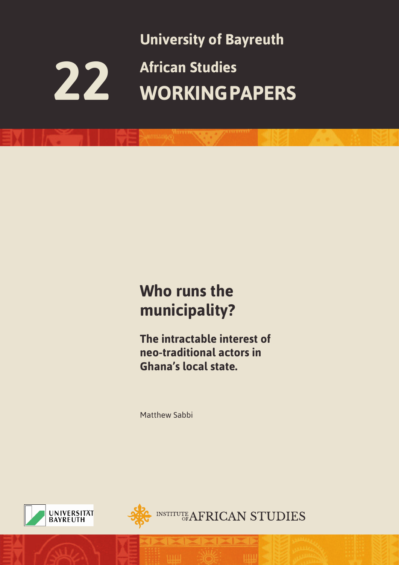

### **Who runs the municipality?**

**The intractable interest of neo-traditional actors in Ghana's local state.**

Matthew Sabbi





**INSTITUTE AFRICAN STUDIES**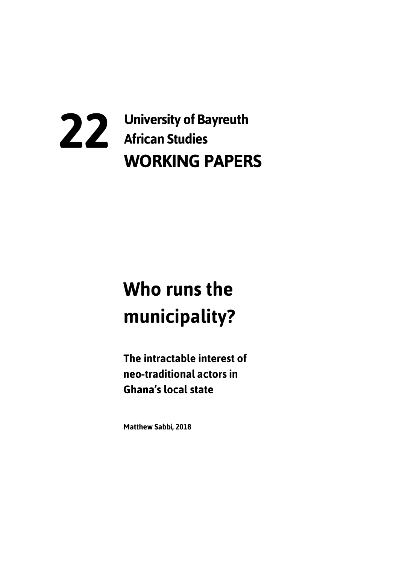# 22 University of Bayreuth<br>African Studies **WORKING PAPERS**

# Who runs the municipality?

The intractable interest of neo-traditional actors in **Ghana's local state** 

**Matthew Sabbi, 2018**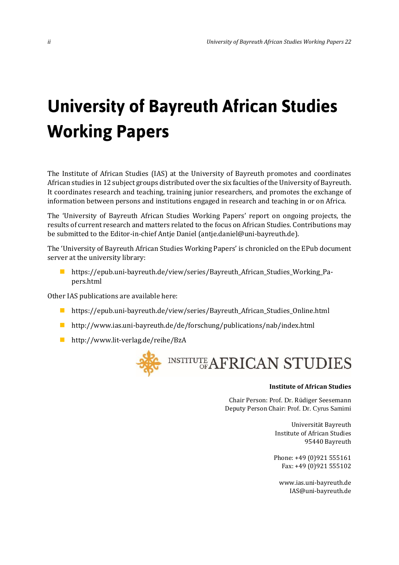## **University of Bayreuth African Studies Working Papers**

The Institute of African Studies (IAS) at the University of Bayreuth promotes and coordinates African studies in 12 subject groups distributed over the six faculties of the University of Bayreuth. It coordinates research and teaching, training junior researchers, and promotes the exchange of information between persons and institutions engaged in research and teaching in or on Africa.

The 'University of Bayreuth African Studies Working Papers' report on ongoing projects, the results of current research and matters related to the focus on African Studies. Contributions may be submitted to the Editor-in-chief Antje Daniel (antje.daniel@uni-bayreuth.de).

The 'University of Bayreuth African Studies Working Papers' is chronicled on the EPub document server at the university library:

■ https://epub.uni-bayreuth.de/view/series/Bayreuth\_African\_Studies\_Working\_Papers.html

Other IAS publications are available here:

- https://epub.uni-bayreuth.de/view/series/Bayreuth\_African\_Studies\_Online.html
- http://www.ias.uni-bayreuth.de/de/forschung/publications/nab/index.html
- http://www.lit-verlag.de/reihe/BzA



#### **Institute of African Studies**

Chair Person: Prof. Dr. Rüdiger Seesemann Deputy Person Chair: Prof. Dr. Cyrus Samimi

> Universität Bayreuth Institute of African Studies 95440 Bayreuth

Phone: +49 (0)921 555161 Fax: +49 (0)921 555102

www.ias.uni-bayreuth.de IAS@uni-bayreuth.de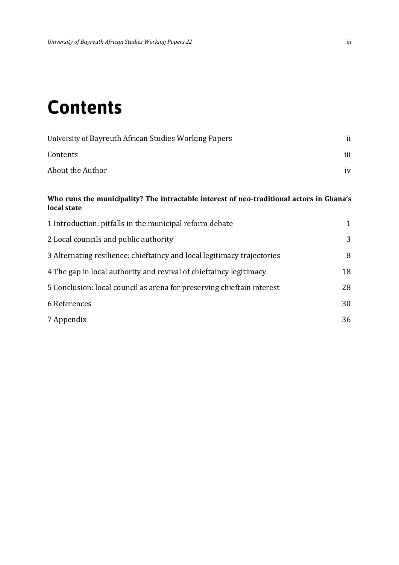### **Contents**

| University of Bayreuth African Studies Working Papers |     |
|-------------------------------------------------------|-----|
| Contents                                              | iii |
| About the Author                                      | iv  |

#### **Who runs the municipality? The intractable interest of neo-traditional actors in Ghana's local state**

| 1 Introduction: pitfalls in the municipal reform debate                 | 1  |
|-------------------------------------------------------------------------|----|
| 2 Local councils and public authority                                   | 3  |
| 3 Alternating resilience: chieftaincy and local legitimacy trajectories | 8  |
| 4 The gap in local authority and revival of chieftaincy legitimacy      | 18 |
| 5 Conclusion: local council as arena for preserving chieftain interest  | 28 |
| 6 References                                                            | 30 |
| 7 Appendix                                                              | 36 |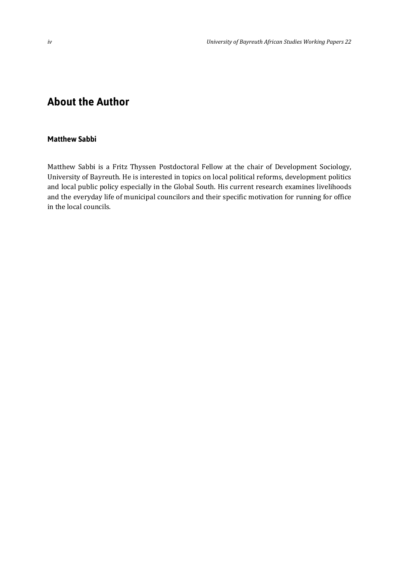### **About the Author**

#### **Matthew Sabbi**

Matthew Sabbi is a Fritz Thyssen Postdoctoral Fellow at the chair of Development Sociology, University of Bayreuth. He is interested in topics on local political reforms, development politics and local public policy especially in the Global South. His current research examines livelihoods and the everyday life of municipal councilors and their specific motivation for running for office in the local councils.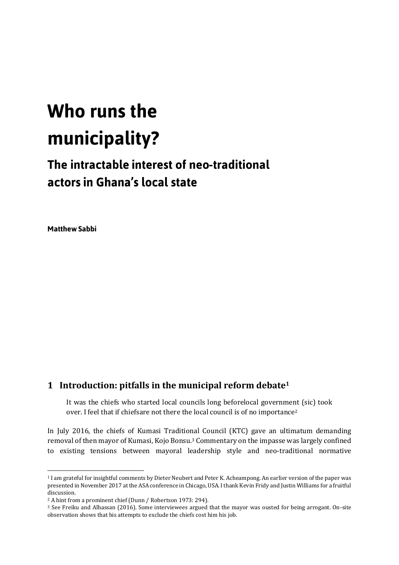# Who runs the municipality?

### The intractable interest of neo-traditional actors in Ghana's local state

**Matthew Sabbi** 

 $\overline{a}$ 

#### **1 Introduction: pitfalls in the municipal reform debate<sup>1</sup>**

It was the chiefs who started local councils long beforelocal government (sic) took over. I feel that if chiefsare not there the local council is of no importance<sup>2</sup>

In July 2016, the chiefs of Kumasi Traditional Council (KTC) gave an ultimatum demanding removal of then mayor of Kumasi, Kojo Bonsu.<sup>3</sup> Commentary on the impasse was largely confined to existing tensions between mayoral leadership style and neo-traditional normative

<sup>1</sup> I am grateful for insightful comments by Dieter Neubert and Peter K. Acheampong. An earlier version of the paper was presented in November 2017 at the ASA conference in Chicago, USA. I thank Kevin Fridy and Justin Williams for a fruitful discussion.

<sup>2</sup> A hint from a prominent chief (Dunn / Robertson 1973: 294).

<sup>3</sup> See Freiku and Alhassan (2016). Some interviewees argued that the mayor was ousted for being arrogant. On-site observation shows that his attempts to exclude the chiefs cost him his job.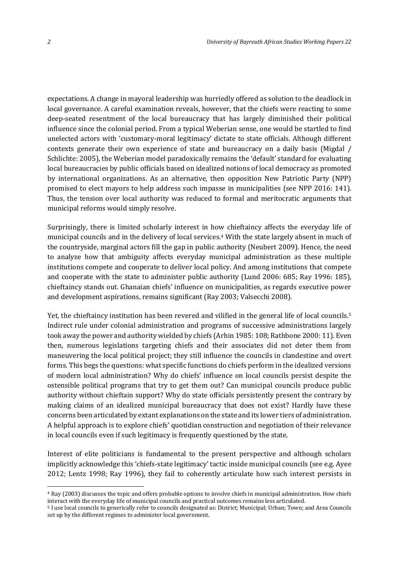expectations. A change in mayoral leadership was hurriedly offered as solution to the deadlock in local governance. A careful examination reveals, however, that the chiefs were reacting to some deep-seated resentment of the local bureaucracy that has largely diminished their political influence since the colonial period. From a typical Weberian sense, one would be startled to find unelected actors with 'customary-moral legitimacy' dictate to state officials. Although different contexts generate their own experience of state and bureaucracy on a daily basis (Migdal / Schlichte: 2005), the Weberian model paradoxically remains the 'default' standard for evaluating local bureaucracies by public officials based on idealized notions of local democracy as promoted by international organizations. As an alternative, then opposition New Patriotic Party (NPP) promised to elect mayors to help address such impasse in municipalities (see NPP 2016: 141). Thus, the tension over local authority was reduced to formal and meritocratic arguments that municipal reforms would simply resolve.

Surprisingly, there is limited scholarly interest in how chieftaincy affects the everyday life of municipal councils and in the delivery of local services.<sup>4</sup> With the state largely absent in much of the countryside, marginal actors fill the gap in public authority (Neubert 2009). Hence, the need to analyze how that ambiguity affects everyday municipal administration as these multiple institutions compete and cooperate to deliver local policy. And among institutions that compete and cooperate with the state to administer public authority (Lund 2006: 685; Ray 1996: 185), chieftaincy stands out. Ghanaian chiefs' influence on municipalities, as regards executive power and development aspirations, remains significant (Ray 2003; Valsecchi 2008).

Yet, the chieftaincy institution has been revered and vilified in the general life of local councils.<sup>5</sup> Indirect rule under colonial administration and programs of successive administrations largely took away the power and authority wielded by chiefs (Arhin 1985: 108; Rathbone 2000: 11). Even then, numerous legislations targeting chiefs and their associates did not deter them from maneuvering the local political project; they still influence the councils in clandestine and overt forms. This begs the questions: what specific functions do chiefs perform in the idealized versions of modern local administration? Why do chiefs' influence on local councils persist despite the ostensible political programs that try to get them out? Can municipal councils produce public authority without chieftain support? Why do state officials persistently present the contrary by making claims of an idealized municipal bureaucracy that does not exist? Hardly have these concerns been articulated by extant explanations on the state and its lower tiers of administration. A helpful approach is to explore chiefs' quotidian construction and negotiation of their relevance in local councils even if such legitimacy is frequently questioned by the state.

Interest of elite politicians is fundamental to the present perspective and although scholars implicitly acknowledge this 'chiefs-state legitimacy' tactic inside municipal councils (see e.g. Ayee 2012; Lentz 1998; Ray 1996), they fail to coherently articulate how such interest persists in

<sup>4</sup> Ray (2003) discusses the topic and offers probable options to involve chiefs in municipal administration. How chiefs interact with the everyday life of municipal councils and practical outcomes remains less articulated.

<sup>5</sup> I use local councils to generically refer to councils designated as: District; Municipal; Urban; Town; and Area Councils set up by the different regimes to administer local government.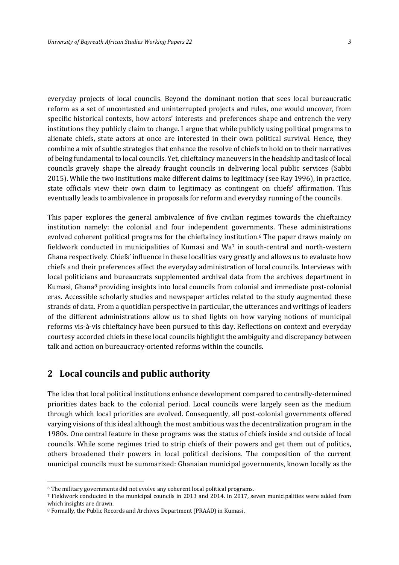everyday projects of local councils. Beyond the dominant notion that sees local bureaucratic reform as a set of uncontested and uninterrupted projects and rules, one would uncover, from specific historical contexts, how actors' interests and preferences shape and entrench the very institutions they publicly claim to change. I argue that while publicly using political programs to alienate chiefs, state actors at once are interested in their own political survival. Hence, they combine a mix of subtle strategies that enhance the resolve of chiefs to hold on to their narratives of being fundamental to local councils. Yet, chieftaincy maneuvers in the headship and task of local councils gravely shape the already fraught councils in delivering local public services (Sabbi 2015). While the two institutions make different claims to legitimacy (see Ray 1996), in practice, state officials view their own claim to legitimacy as contingent on chiefs' affirmation. This eventually leads to ambivalence in proposals for reform and everyday running of the councils.

This paper explores the general ambivalence of five civilian regimes towards the chieftaincy institution namely: the colonial and four independent governments. These administrations evolved coherent political programs for the chieftaincy institution.<sup>6</sup> The paper draws mainly on fieldwork conducted in municipalities of Kumasi and Wa<sup>7</sup> in south-central and north-western Ghana respectively. Chiefs' influence in these localities vary greatly and allows us to evaluate how chiefs and their preferences affect the everyday administration of local councils. Interviews with local politicians and bureaucrats supplemented archival data from the archives department in Kumasi, Ghana<sup>8</sup> providing insights into local councils from colonial and immediate post-colonial eras. Accessible scholarly studies and newspaper articles related to the study augmented these strands of data. From a quotidian perspective in particular, the utterances and writings of leaders of the different administrations allow us to shed lights on how varying notions of municipal reforms vis-à-vis chieftaincy have been pursued to this day. Reflections on context and everyday courtesy accorded chiefs in these local councils highlight the ambiguity and discrepancy between talk and action on bureaucracy-oriented reforms within the councils.

#### **2 Local councils and public authority**

 $\overline{a}$ 

The idea that local political institutions enhance development compared to centrally-determined priorities dates back to the colonial period. Local councils were largely seen as the medium through which local priorities are evolved. Consequently, all post-colonial governments offered varying visions of this ideal although the most ambitious was the decentralization program in the 1980s. One central feature in these programs was the status of chiefs inside and outside of local councils. While some regimes tried to strip chiefs of their powers and get them out of politics, others broadened their powers in local political decisions. The composition of the current municipal councils must be summarized: Ghanaian municipal governments, known locally as the

<sup>6</sup> The military governments did not evolve any coherent local political programs.

<sup>7</sup> Fieldwork conducted in the municipal councils in 2013 and 2014. In 2017, seven municipalities were added from which insights are drawn.

<sup>8</sup> Formally, the Public Records and Archives Department (PRAAD) in Kumasi.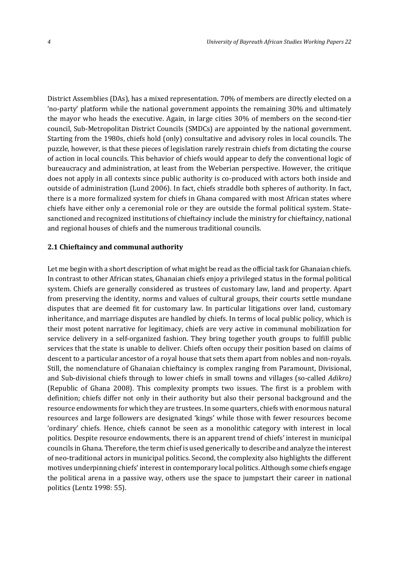District Assemblies (DAs), has a mixed representation. 70% of members are directly elected on a 'no-party' platform while the national government appoints the remaining 30% and ultimately the mayor who heads the executive. Again, in large cities 30% of members on the second-tier council, Sub-Metropolitan District Councils (SMDCs) are appointed by the national government. Starting from the 1980s, chiefs hold (only) consultative and advisory roles in local councils. The puzzle, however, is that these pieces of legislation rarely restrain chiefs from dictating the course of action in local councils. This behavior of chiefs would appear to defy the conventional logic of bureaucracy and administration, at least from the Weberian perspective. However, the critique does not apply in all contexts since public authority is co-produced with actors both inside and outside of administration (Lund 2006). In fact, chiefs straddle both spheres of authority. In fact, there is a more formalized system for chiefs in Ghana compared with most African states where chiefs have either only a ceremonial role or they are outside the formal political system. Statesanctioned and recognized institutions of chieftaincy include the ministry for chieftaincy, national and regional houses of chiefs and the numerous traditional councils.

#### **2.1 Chieftaincy and communal authority**

Let me begin with a short description of what might be read as the official task for Ghanaian chiefs. In contrast to other African states, Ghanaian chiefs enjoy a privileged status in the formal political system. Chiefs are generally considered as trustees of customary law, land and property. Apart from preserving the identity, norms and values of cultural groups, their courts settle mundane disputes that are deemed fit for customary law. In particular litigations over land, customary inheritance, and marriage disputes are handled by chiefs. In terms of local public policy, which is their most potent narrative for legitimacy, chiefs are very active in communal mobilization for service delivery in a self-organized fashion. They bring together youth groups to fulfill public services that the state is unable to deliver. Chiefs often occupy their position based on claims of descent to a particular ancestor of a royal house that sets them apart from nobles and non-royals. Still, the nomenclature of Ghanaian chieftaincy is complex ranging from Paramount, Divisional, and Sub-divisional chiefs through to lower chiefs in small towns and villages (so-called *Adikro)* (Republic of Ghana 2008). This complexity prompts two issues. The first is a problem with definition; chiefs differ not only in their authority but also their personal background and the resource endowments for which they are trustees. In some quarters, chiefs with enormous natural resources and large followers are designated 'kings' while those with fewer resources become 'ordinary' chiefs. Hence, chiefs cannot be seen as a monolithic category with interest in local politics. Despite resource endowments, there is an apparent trend of chiefs' interest in municipal councils in Ghana. Therefore, the term chief is used generically to describe and analyze the interest of neo-traditional actors in municipal politics. Second, the complexity also highlights the different motives underpinning chiefs' interest in contemporary local politics. Although some chiefs engage the political arena in a passive way, others use the space to jumpstart their career in national politics (Lentz 1998: 55).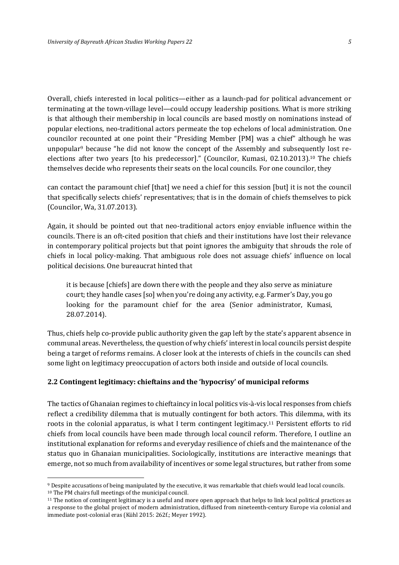Overall, chiefs interested in local politics—either as a launch-pad for political advancement or terminating at the town-village level—could occupy leadership positions. What is more striking is that although their membership in local councils are based mostly on nominations instead of popular elections, neo-traditional actors permeate the top echelons of local administration. One councilor recounted at one point their "Presiding Member [PM] was a chief" although he was unpopular<sup>9</sup> because "he did not know the concept of the Assembly and subsequently lost reelections after two years [to his predecessor]." (Councilor, Kumasi, 02.10.2013).<sup>10</sup> The chiefs themselves decide who represents their seats on the local councils. For one councilor, they

can contact the paramount chief [that] we need a chief for this session [but] it is not the council that specifically selects chiefs' representatives; that is in the domain of chiefs themselves to pick (Councilor, Wa, 31.07.2013).

Again, it should be pointed out that neo-traditional actors enjoy enviable influence within the councils. There is an oft-cited position that chiefs and their institutions have lost their relevance in contemporary political projects but that point ignores the ambiguity that shrouds the role of chiefs in local policy-making. That ambiguous role does not assuage chiefs' influence on local political decisions. One bureaucrat hinted that

it is because [chiefs] are down there with the people and they also serve as miniature court; they handle cases [so] when you're doing any activity, e.g. Farmer's Day, you go looking for the paramount chief for the area (Senior administrator, Kumasi, 28.07.2014).

Thus, chiefs help co-provide public authority given the gap left by the state's apparent absence in communal areas. Nevertheless, the question of why chiefs' interest in local councils persist despite being a target of reforms remains. A closer look at the interests of chiefs in the councils can shed some light on legitimacy preoccupation of actors both inside and outside of local councils.

#### **2.2 Contingent legitimacy: chieftains and the 'hypocrisy' of municipal reforms**

 $\overline{a}$ 

The tactics of Ghanaian regimes to chieftaincy in local politics vis-à-vis local responses from chiefs reflect a credibility dilemma that is mutually contingent for both actors. This dilemma, with its roots in the colonial apparatus, is what I term contingent legitimacy.<sup>11</sup> Persistent efforts to rid chiefs from local councils have been made through local council reform. Therefore, I outline an institutional explanation for reforms and everyday resilience of chiefs and the maintenance of the status quo in Ghanaian municipalities. Sociologically, institutions are interactive meanings that emerge, not so much from availability of incentives or some legal structures, but rather from some

<sup>9</sup> Despite accusations of being manipulated by the executive, it was remarkable that chiefs would lead local councils. <sup>10</sup> The PM chairs full meetings of the municipal council.

<sup>11</sup> The notion of contingent legitimacy is a useful and more open approach that helps to link local political practices as a response to the global project of modern administration, diffused from nineteenth-century Europe via colonial and immediate post-colonial eras (Kühl 2015: 262f.; Meyer 1992).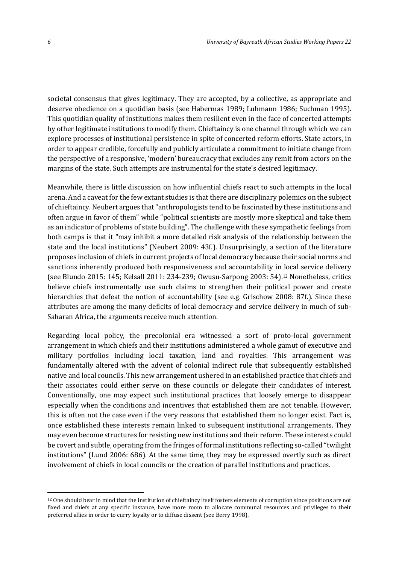societal consensus that gives legitimacy. They are accepted, by a collective, as appropriate and deserve obedience on a quotidian basis (see Habermas 1989; Luhmann 1986; Suchman 1995). This quotidian quality of institutions makes them resilient even in the face of concerted attempts by other legitimate institutions to modify them. Chieftaincy is one channel through which we can explore processes of institutional persistence in spite of concerted reform efforts. State actors, in order to appear credible, forcefully and publicly articulate a commitment to initiate change from the perspective of a responsive, 'modern' bureaucracy that excludes any remit from actors on the margins of the state. Such attempts are instrumental for the state's desired legitimacy.

Meanwhile, there is little discussion on how influential chiefs react to such attempts in the local arena. And a caveat for the few extant studies is that there are disciplinary polemics on the subject of chieftaincy. Neubert argues that "anthropologists tend to be fascinated by these institutions and often argue in favor of them" while "political scientists are mostly more skeptical and take them as an indicator of problems of state building". The challenge with these sympathetic feelings from both camps is that it "may inhibit a more detailed risk analysis of the relationship between the state and the local institutions" (Neubert 2009: 43f.). Unsurprisingly, a section of the literature proposes inclusion of chiefs in current projects of local democracy because their social norms and sanctions inherently produced both responsiveness and accountability in local service delivery (see Blundo 2015: 145; Kelsall 2011: 234-239; Owusu-Sarpong 2003: 54).<sup>12</sup> Nonetheless, critics believe chiefs instrumentally use such claims to strengthen their political power and create hierarchies that defeat the notion of accountability (see e.g. Grischow 2008: 87f.). Since these attributes are among the many deficits of local democracy and service delivery in much of sub-Saharan Africa, the arguments receive much attention.

Regarding local policy, the precolonial era witnessed a sort of proto-local government arrangement in which chiefs and their institutions administered a whole gamut of executive and military portfolios including local taxation, land and royalties. This arrangement was fundamentally altered with the advent of colonial indirect rule that subsequently established native and local councils. This new arrangement ushered in an established practice that chiefs and their associates could either serve on these councils or delegate their candidates of interest. Conventionally, one may expect such institutional practices that loosely emerge to disappear especially when the conditions and incentives that established them are not tenable. However, this is often not the case even if the very reasons that established them no longer exist. Fact is, once established these interests remain linked to subsequent institutional arrangements. They may even become structures for resisting new institutions and their reform. These interests could be covert and subtle, operating from the fringes of formal institutions reflecting so-called "twilight institutions" (Lund 2006: 686). At the same time, they may be expressed overtly such as direct involvement of chiefs in local councils or the creation of parallel institutions and practices.

<sup>12</sup> One should bear in mind that the institution of chieftaincy itself fosters elements of corruption since positions are not fixed and chiefs at any specific instance, have more room to allocate communal resources and privileges to their preferred allies in order to curry loyalty or to diffuse dissent (see Berry 1998).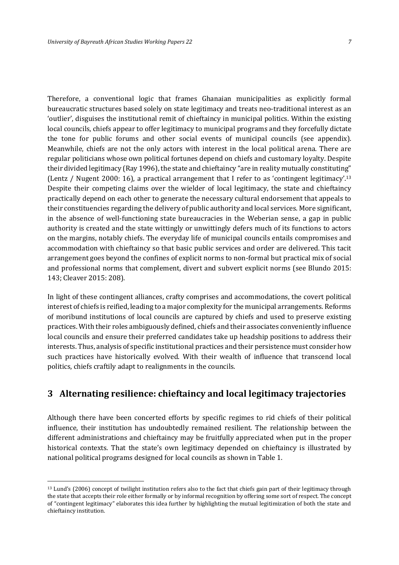Therefore, a conventional logic that frames Ghanaian municipalities as explicitly formal bureaucratic structures based solely on state legitimacy and treats neo-traditional interest as an 'outlier', disguises the institutional remit of chieftaincy in municipal politics. Within the existing local councils, chiefs appear to offer legitimacy to municipal programs and they forcefully dictate the tone for public forums and other social events of municipal councils (see appendix). Meanwhile, chiefs are not the only actors with interest in the local political arena. There are regular politicians whose own political fortunes depend on chiefs and customary loyalty. Despite their divided legitimacy (Ray 1996), the state and chieftaincy "are in reality mutually constituting" (Lentz / Nugent 2000: 16), a practical arrangement that I refer to as 'contingent legitimacy'.<sup>13</sup> Despite their competing claims over the wielder of local legitimacy, the state and chieftaincy practically depend on each other to generate the necessary cultural endorsement that appeals to their constituencies regarding the delivery of public authority and local services. More significant, in the absence of well-functioning state bureaucracies in the Weberian sense, a gap in public authority is created and the state wittingly or unwittingly defers much of its functions to actors on the margins, notably chiefs. The everyday life of municipal councils entails compromises and accommodation with chieftaincy so that basic public services and order are delivered. This tacit arrangement goes beyond the confines of explicit norms to non-formal but practical mix of social and professional norms that complement, divert and subvert explicit norms (see Blundo 2015: 143; Cleaver 2015: 208).

In light of these contingent alliances, crafty comprises and accommodations, the covert political interest of chiefs is reified, leading to a major complexity for the municipal arrangements. Reforms of moribund institutions of local councils are captured by chiefs and used to preserve existing practices. With their roles ambiguously defined, chiefs and their associates conveniently influence local councils and ensure their preferred candidates take up headship positions to address their interests. Thus, analysis of specific institutional practices and their persistence must consider how such practices have historically evolved. With their wealth of influence that transcend local politics, chiefs craftily adapt to realignments in the councils.

#### **3 Alternating resilience: chieftaincy and local legitimacy trajectories**

Although there have been concerted efforts by specific regimes to rid chiefs of their political influence, their institution has undoubtedly remained resilient. The relationship between the different administrations and chieftaincy may be fruitfully appreciated when put in the proper historical contexts. That the state's own legitimacy depended on chieftaincy is illustrated by national political programs designed for local councils as shown in Table 1.

<sup>13</sup> Lund's (2006) concept of twilight institution refers also to the fact that chiefs gain part of their legitimacy through the state that accepts their role either formally or by informal recognition by offering some sort of respect. The concept of "contingent legitimacy" elaborates this idea further by highlighting the mutual legitimization of both the state and chieftaincy institution.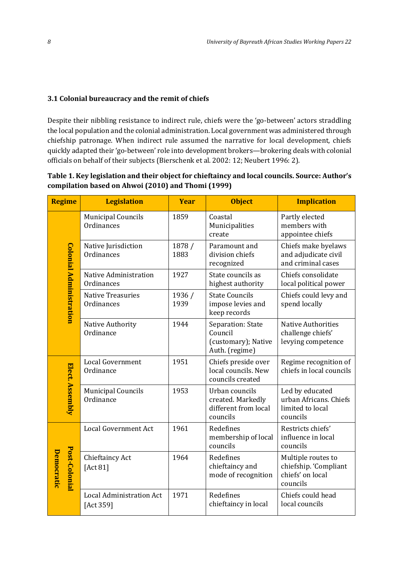#### **3.1 Colonial bureaucracy and the remit of chiefs**

Despite their nibbling resistance to indirect rule, chiefs were the 'go-between' actors straddling the local population and the colonial administration. Local government was administered through chiefship patronage. When indirect rule assumed the narrative for local development, chiefs quickly adapted their 'go-between' role into development brokers—brokering deals with colonial officials on behalf of their subjects (Bierschenk et al. 2002: 12; Neubert 1996: 2).

**Table 1. Key legislation and their object for chieftaincy and local councils. Source: Author's compilation based on Ahwoi (2010) and Thomi (1999)**

| <b>Regime</b> |                         | <b>Legislation</b>                           | <b>Year</b>    | <b>Object</b>                                                           | <b>Implication</b>                                                          |  |
|---------------|-------------------------|----------------------------------------------|----------------|-------------------------------------------------------------------------|-----------------------------------------------------------------------------|--|
|               | Colonial Administration | <b>Municipal Councils</b><br>Ordinances      | 1859           | Coastal<br>Municipalities<br>create                                     | Partly elected<br>members with<br>appointee chiefs                          |  |
|               |                         | Native Jurisdiction<br>Ordinances            | 1878 /<br>1883 | Paramount and<br>division chiefs<br>recognized                          | Chiefs make byelaws<br>and adjudicate civil<br>and criminal cases           |  |
|               |                         | Native Administration<br>Ordinances          | 1927           | State councils as<br>highest authority                                  | Chiefs consolidate<br>local political power                                 |  |
|               |                         | Native Treasuries<br>Ordinances              | 1936 /<br>1939 | <b>State Councils</b><br>impose levies and<br>keep records              | Chiefs could levy and<br>spend locally                                      |  |
|               |                         | Native Authority<br>Ordinance                | 1944           | Separation: State<br>Council<br>(customary); Native<br>Auth. (regime)   | <b>Native Authorities</b><br>challenge chiefs'<br>levying competence        |  |
|               | Elect. Assembly         | <b>Local Government</b><br>Ordinance         | 1951           | Chiefs preside over<br>local councils. New<br>councils created          | Regime recognition of<br>chiefs in local councils                           |  |
|               |                         | <b>Municipal Councils</b><br>Ordinance       | 1953           | Urban councils<br>created. Markedly<br>different from local<br>councils | Led by educated<br>urban Africans. Chiefs<br>limited to local<br>councils   |  |
|               | Post-Colonial           | <b>Local Government Act</b>                  | 1961           | Redefines<br>membership of local<br>councils                            | Restricts chiefs'<br>influence in local<br>councils                         |  |
| Democratic    |                         | Chieftaincy Act<br>[Act 81]                  | 1964           | Redefines<br>chieftaincy and<br>mode of recognition                     | Multiple routes to<br>chiefship. 'Compliant<br>chiefs' on local<br>councils |  |
|               |                         | <b>Local Administration Act</b><br>[Act 359] | 1971           | Redefines<br>chieftaincy in local                                       | Chiefs could head<br>local councils                                         |  |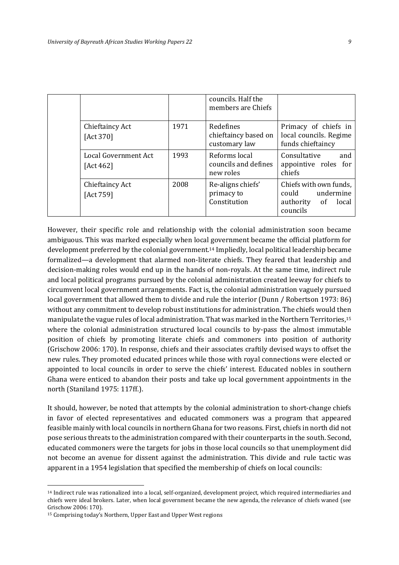|  |                                   |      | councils. Half the<br>members are Chiefs           |                                                                                |
|--|-----------------------------------|------|----------------------------------------------------|--------------------------------------------------------------------------------|
|  | Chieftaincy Act<br>[Act 370]      | 1971 | Redefines<br>chieftaincy based on<br>customary law | Primacy of chiefs in<br>local councils. Regime<br>funds chieftaincy            |
|  | Local Government Act<br>[Act 462] | 1993 | Reforms local<br>councils and defines<br>new roles | Consultative<br>and<br>appointive roles for<br>chiefs                          |
|  | Chieftaincy Act<br>[Act 759]      | 2008 | Re-aligns chiefs'<br>primacy to<br>Constitution    | Chiefs with own funds,<br>could undermine<br>authority of<br>local<br>councils |

However, their specific role and relationship with the colonial administration soon became ambiguous. This was marked especially when local government became the official platform for development preferred by the colonial government.<sup>14</sup> Impliedly, local political leadership became formalized—a development that alarmed non-literate chiefs. They feared that leadership and decision-making roles would end up in the hands of non-royals. At the same time, indirect rule and local political programs pursued by the colonial administration created leeway for chiefs to circumvent local government arrangements. Fact is, the colonial administration vaguely pursued local government that allowed them to divide and rule the interior (Dunn / Robertson 1973: 86) without any commitment to develop robust institutions for administration. The chiefs would then manipulate the vague rules of local administration. That was marked in the Northern Territories,<sup>15</sup> where the colonial administration structured local councils to by-pass the almost immutable position of chiefs by promoting literate chiefs and commoners into position of authority (Grischow 2006: 170). In response, chiefs and their associates craftily devised ways to offset the new rules. They promoted educated princes while those with royal connections were elected or appointed to local councils in order to serve the chiefs' interest. Educated nobles in southern Ghana were enticed to abandon their posts and take up local government appointments in the north (Staniland 1975: 117ff.).

It should, however, be noted that attempts by the colonial administration to short-change chiefs in favor of elected representatives and educated commoners was a program that appeared feasible mainly with local councils in northern Ghana for two reasons. First, chiefs in north did not pose serious threats to the administration compared with their counterparts in the south. Second, educated commoners were the targets for jobs in those local councils so that unemployment did not become an avenue for dissent against the administration. This divide and rule tactic was apparent in a 1954 legislation that specified the membership of chiefs on local councils:

<sup>14</sup> Indirect rule was rationalized into a local, self-organized, development project, which required intermediaries and chiefs were ideal brokers. Later, when local government became the new agenda, the relevance of chiefs waned (see Grischow 2006: 170).

<sup>15</sup> Comprising today's Northern, Upper East and Upper West regions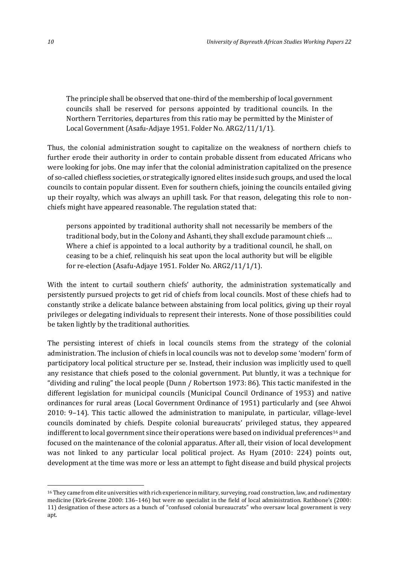The principle shall be observed that one-third of the membership of local government councils shall be reserved for persons appointed by traditional councils. In the Northern Territories, departures from this ratio may be permitted by the Minister of Local Government (Asafu-Adjaye 1951. Folder No. ARG2/11/1/1).

Thus, the colonial administration sought to capitalize on the weakness of northern chiefs to further erode their authority in order to contain probable dissent from educated Africans who were looking for jobs. One may infer that the colonial administration capitalized on the presence of so-called chiefless societies, or strategically ignored elites inside such groups, and used the local councils to contain popular dissent. Even for southern chiefs, joining the councils entailed giving up their royalty, which was always an uphill task. For that reason, delegating this role to nonchiefs might have appeared reasonable. The regulation stated that:

persons appointed by traditional authority shall not necessarily be members of the traditional body, but in the Colony and Ashanti, they shall exclude paramount chiefs … Where a chief is appointed to a local authority by a traditional council, he shall, on ceasing to be a chief, relinquish his seat upon the local authority but will be eligible for re-election (Asafu-Adjaye 1951. Folder No. ARG2/11/1/1).

With the intent to curtail southern chiefs' authority, the administration systematically and persistently pursued projects to get rid of chiefs from local councils. Most of these chiefs had to constantly strike a delicate balance between abstaining from local politics, giving up their royal privileges or delegating individuals to represent their interests. None of those possibilities could be taken lightly by the traditional authorities.

The persisting interest of chiefs in local councils stems from the strategy of the colonial administration. The inclusion of chiefs in local councils was not to develop some 'modern' form of participatory local political structure per se. Instead, their inclusion was implicitly used to quell any resistance that chiefs posed to the colonial government. Put bluntly, it was a technique for "dividing and ruling" the local people (Dunn / Robertson 1973: 86). This tactic manifested in the different legislation for municipal councils (Municipal Council Ordinance of 1953) and native ordinances for rural areas (Local Government Ordinance of 1951) particularly and (see Ahwoi 2010: 9–14). This tactic allowed the administration to manipulate, in particular, village-level councils dominated by chiefs. Despite colonial bureaucrats' privileged status, they appeared indifferent to local government since their operations were based on individual preferences<sup>16</sup> and focused on the maintenance of the colonial apparatus. After all, their vision of local development was not linked to any particular local political project. As Hyam (2010: 224) points out, development at the time was more or less an attempt to fight disease and build physical projects

<sup>16</sup> They came from elite universities with rich experience in military, surveying, road construction, law, and rudimentary medicine (Kirk-Greene 2000: 136–146) but were no specialist in the field of local administration. Rathbone's (2000: 11) designation of these actors as a bunch of "confused colonial bureaucrats" who oversaw local government is very apt.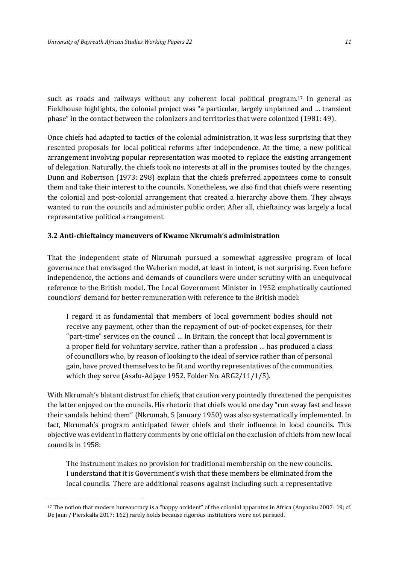such as roads and railways without any coherent local political program. <sup>17</sup> In general as Fieldhouse highlights, the colonial project was "a particular, largely unplanned and … transient phase" in the contact between the colonizers and territories that were colonized (1981: 49).

Once chiefs had adapted to tactics of the colonial administration, it was less surprising that they resented proposals for local political reforms after independence. At the time, a new political arrangement involving popular representation was mooted to replace the existing arrangement of delegation. Naturally, the chiefs took no interests at all in the promises touted by the changes. Dunn and Robertson (1973: 298) explain that the chiefs preferred appointees come to consult them and take their interest to the councils. Nonetheless, we also find that chiefs were resenting the colonial and post-colonial arrangement that created a hierarchy above them. They always wanted to run the councils and administer public order. After all, chieftaincy was largely a local representative political arrangement.

#### **3.2 Anti-chieftaincy maneuvers of Kwame Nkrumah's administration**

That the independent state of Nkrumah pursued a somewhat aggressive program of local governance that envisaged the Weberian model, at least in intent, is not surprising. Even before independence, the actions and demands of councilors were under scrutiny with an unequivocal reference to the British model. The Local Government Minister in 1952 emphatically cautioned councilors' demand for better remuneration with reference to the British model:

I regard it as fundamental that members of local government bodies should not receive any payment, other than the repayment of out-of-pocket expenses, for their "part-time" services on the council … In Britain, the concept that local government is a proper field for voluntary service, rather than a profession … has produced a class of councillors who, by reason of looking to the ideal of service rather than of personal gain, have proved themselves to be fit and worthy representatives of the communities which they serve (Asafu-Adjaye 1952. Folder No. ARG2/11/1/5).

With Nkrumah's blatant distrust for chiefs, that caution very pointedly threatened the perquisites the latter enjoyed on the councils. His rhetoric that chiefs would one day "run away fast and leave their sandals behind them" (Nkrumah, 5 January 1950) was also systematically implemented. In fact, Nkrumah's program anticipated fewer chiefs and their influence in local councils. This objective was evident in flattery comments by one official on the exclusion of chiefs from new local councils in 1958:

The instrument makes no provision for traditional membership on the new councils. I understand that it is Government's wish that these members be eliminated from the local councils. There are additional reasons against including such a representative

<sup>17</sup> The notion that modern bureaucracy is a "happy accident" of the colonial apparatus in Africa (Anyaoku 2007: 19; cf. De Jaun / Pierskalla 2017: 162) rarely holds because rigorous institutions were not pursued.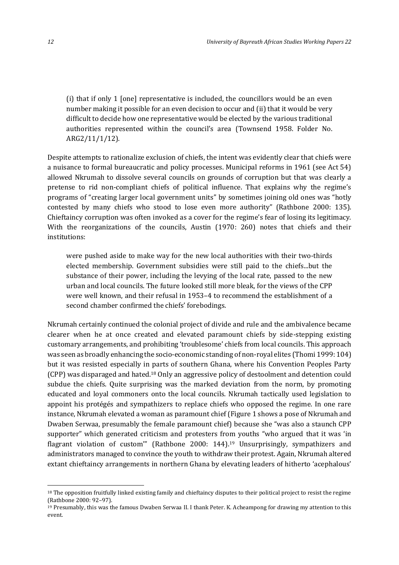(i) that if only 1 [one] representative is included, the councillors would be an even number making it possible for an even decision to occur and (ii) that it would be very difficult to decide how one representative would be elected by the various traditional authorities represented within the council's area (Townsend 1958. Folder No. ARG2/11/1/12).

Despite attempts to rationalize exclusion of chiefs, the intent was evidently clear that chiefs were a nuisance to formal bureaucratic and policy processes. Municipal reforms in 1961 (see Act 54) allowed Nkrumah to dissolve several councils on grounds of corruption but that was clearly a pretense to rid non-compliant chiefs of political influence. That explains why the regime's programs of "creating larger local government units" by sometimes joining old ones was "hotly contested by many chiefs who stood to lose even more authority" (Rathbone 2000: 135). Chieftaincy corruption was often invoked as a cover for the regime's fear of losing its legitimacy. With the reorganizations of the councils, Austin (1970: 260) notes that chiefs and their institutions:

were pushed aside to make way for the new local authorities with their two-thirds elected membership. Government subsidies were still paid to the chiefs...but the substance of their power, including the levying of the local rate, passed to the new urban and local councils. The future looked still more bleak, for the views of the CPP were well known, and their refusal in 1953–4 to recommend the establishment of a second chamber confirmed the chiefs' forebodings.

Nkrumah certainly continued the colonial project of divide and rule and the ambivalence became clearer when he at once created and elevated paramount chiefs by side-stepping existing customary arrangements, and prohibiting 'troublesome' chiefs from local councils. This approach was seen as broadly enhancing the socio-economic standing of non-royal elites (Thomi 1999: 104) but it was resisted especially in parts of southern Ghana, where his Convention Peoples Party (CPP) was disparaged and hated.<sup>18</sup> Only an aggressive policy of destoolment and detention could subdue the chiefs. Quite surprising was the marked deviation from the norm, by promoting educated and loyal commoners onto the local councils. Nkrumah tactically used legislation to appoint his protégés and sympathizers to replace chiefs who opposed the regime. In one rare instance, Nkrumah elevated a woman as paramount chief (Figure 1 shows a pose of Nkrumah and Dwaben Serwaa, presumably the female paramount chief) because she "was also a staunch CPP supporter" which generated criticism and protesters from youths "who argued that it was 'in flagrant violation of custom'" (Rathbone 2000: 144). <sup>19</sup> Unsurprisingly, sympathizers and administrators managed to convince the youth to withdraw their protest. Again, Nkrumah altered extant chieftaincy arrangements in northern Ghana by elevating leaders of hitherto 'acephalous'

<sup>&</sup>lt;sup>18</sup> The opposition fruitfully linked existing family and chieftaincy disputes to their political project to resist the regime (Rathbone 2000: 92–97).

<sup>19</sup> Presumably, this was the famous Dwaben Serwaa II. I thank Peter. K. Acheampong for drawing my attention to this event.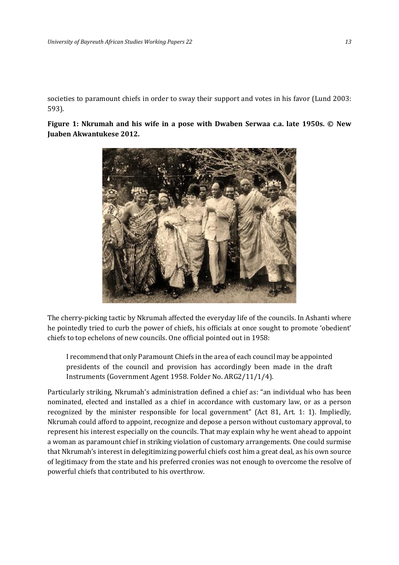societies to paramount chiefs in order to sway their support and votes in his favor (Lund 2003: 593).

**Figure 1: Nkrumah and his wife in a pose with Dwaben Serwaa c.a. late 1950s. © New Juaben Akwantukese 2012.**



The cherry-picking tactic by Nkrumah affected the everyday life of the councils. In Ashanti where he pointedly tried to curb the power of chiefs, his officials at once sought to promote 'obedient' chiefs to top echelons of new councils. One official pointed out in 1958:

I recommend that only Paramount Chiefs in the area of each council may be appointed presidents of the council and provision has accordingly been made in the draft Instruments (Government Agent 1958. Folder No. ARG2/11/1/4).

Particularly striking, Nkrumah's administration defined a chief as: "an individual who has been nominated, elected and installed as a chief in accordance with customary law, or as a person recognized by the minister responsible for local government" (Act 81, Art. 1: 1). Impliedly, Nkrumah could afford to appoint, recognize and depose a person without customary approval, to represent his interest especially on the councils. That may explain why he went ahead to appoint a woman as paramount chief in striking violation of customary arrangements. One could surmise that Nkrumah's interest in delegitimizing powerful chiefs cost him a great deal, as his own source of legitimacy from the state and his preferred cronies was not enough to overcome the resolve of powerful chiefs that contributed to his overthrow.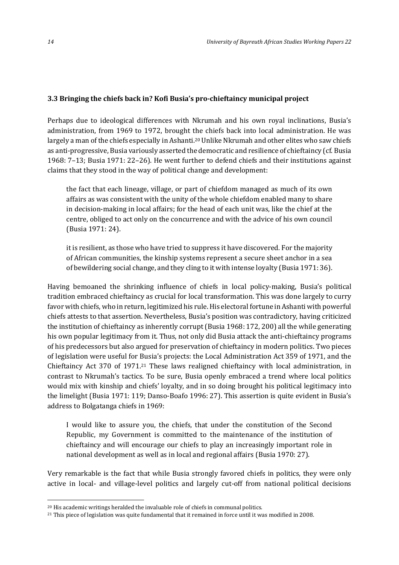#### **3.3 Bringing the chiefs back in? Kofi Busia's pro-chieftaincy municipal project**

Perhaps due to ideological differences with Nkrumah and his own royal inclinations, Busia's administration, from 1969 to 1972, brought the chiefs back into local administration. He was largely a man of the chiefs especially in Ashanti.<sup>20</sup> Unlike Nkrumah and other elites who saw chiefs as anti-progressive, Busia variously asserted the democratic and resilience of chieftaincy (cf. Busia 1968: 7–13; Busia 1971: 22–26). He went further to defend chiefs and their institutions against claims that they stood in the way of political change and development:

the fact that each lineage, village, or part of chiefdom managed as much of its own affairs as was consistent with the unity of the whole chiefdom enabled many to share in decision-making in local affairs; for the head of each unit was, like the chief at the centre, obliged to act only on the concurrence and with the advice of his own council (Busia 1971: 24).

it is resilient, as those who have tried to suppress it have discovered. For the majority of African communities, the kinship systems represent a secure sheet anchor in a sea of bewildering social change, and they cling to it with intense loyalty (Busia 1971: 36).

Having bemoaned the shrinking influence of chiefs in local policy-making, Busia's political tradition embraced chieftaincy as crucial for local transformation. This was done largely to curry favor with chiefs, who in return, legitimized his rule. His electoral fortune in Ashanti with powerful chiefs attests to that assertion. Nevertheless, Busia's position was contradictory, having criticized the institution of chieftaincy as inherently corrupt (Busia 1968: 172, 200) all the while generating his own popular legitimacy from it. Thus, not only did Busia attack the anti-chieftaincy programs of his predecessors but also argued for preservation of chieftaincy in modern politics. Two pieces of legislation were useful for Busia's projects: the Local Administration Act 359 of 1971, and the Chieftaincy Act 370 of 1971. <sup>21</sup> These laws realigned chieftaincy with local administration, in contrast to Nkrumah's tactics. To be sure, Busia openly embraced a trend where local politics would mix with kinship and chiefs' loyalty, and in so doing brought his political legitimacy into the limelight (Busia 1971: 119; Danso-Boafo 1996: 27). This assertion is quite evident in Busia's address to Bolgatanga chiefs in 1969:

I would like to assure you, the chiefs, that under the constitution of the Second Republic, my Government is committed to the maintenance of the institution of chieftaincy and will encourage our chiefs to play an increasingly important role in national development as well as in local and regional affairs (Busia 1970: 27).

Very remarkable is the fact that while Busia strongly favored chiefs in politics, they were only active in local- and village-level politics and largely cut-off from national political decisions

<sup>20</sup> His academic writings heralded the invaluable role of chiefs in communal politics.

<sup>21</sup> This piece of legislation was quite fundamental that it remained in force until it was modified in 2008.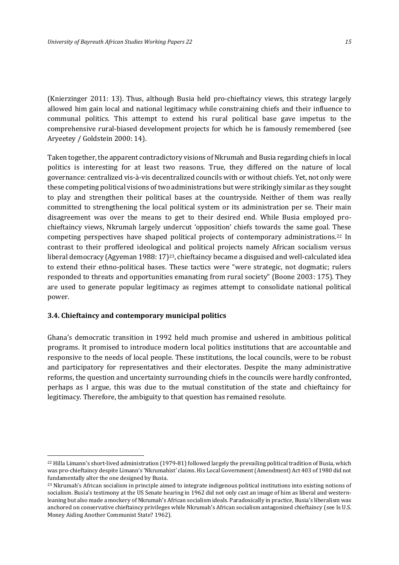(Knierzinger 2011: 13). Thus, although Busia held pro-chieftaincy views, this strategy largely allowed him gain local and national legitimacy while constraining chiefs and their influence to communal politics. This attempt to extend his rural political base gave impetus to the comprehensive rural-biased development projects for which he is famously remembered (see Aryeetey / Goldstein 2000: 14).

Taken together, the apparent contradictory visions of Nkrumah and Busia regarding chiefs in local politics is interesting for at least two reasons. True, they differed on the nature of local governance: centralized vis-à-vis decentralized councils with or without chiefs. Yet, not only were these competing political visions of two administrations but were strikingly similar as they sought to play and strengthen their political bases at the countryside. Neither of them was really committed to strengthening the local political system or its administration per se. Their main disagreement was over the means to get to their desired end. While Busia employed prochieftaincy views, Nkrumah largely undercut 'opposition' chiefs towards the same goal. These competing perspectives have shaped political projects of contemporary administrations.<sup>22</sup> In contrast to their proffered ideological and political projects namely African socialism versus liberal democracy (Agyeman 1988: 17)23, chieftaincy became a disguised and well-calculated idea to extend their ethno-political bases. These tactics were "were strategic, not dogmatic; rulers responded to threats and opportunities emanating from rural society" (Boone 2003: 175). They are used to generate popular legitimacy as regimes attempt to consolidate national political power.

#### **3.4. Chieftaincy and contemporary municipal politics**

 $\overline{a}$ 

Ghana's democratic transition in 1992 held much promise and ushered in ambitious political programs. It promised to introduce modern local politics institutions that are accountable and responsive to the needs of local people. These institutions, the local councils, were to be robust and participatory for representatives and their electorates. Despite the many administrative reforms, the question and uncertainty surrounding chiefs in the councils were hardly confronted, perhaps as I argue, this was due to the mutual constitution of the state and chieftaincy for legitimacy. Therefore, the ambiguity to that question has remained resolute.

<sup>22</sup> Hilla Limann's short-lived administration (1979-81) followed largely the prevailing political tradition of Busia, which was pro-chieftaincy despite Limann's 'Nkrumahist' claims. His Local Government (Amendment) Act 403 of 1980 did not fundamentally alter the one designed by Busia.

<sup>&</sup>lt;sup>23</sup> Nkrumah's African socialism in principle aimed to integrate indigenous political institutions into existing notions of socialism. Busia's testimony at the US Senate hearing in 1962 did not only cast an image of him as liberal and westernleaning but also made a mockery of Nkrumah's African socialism ideals. Paradoxically in practice, Busia's liberalism was anchored on conservative chieftaincy privileges while Nkrumah's African socialism antagonized chieftaincy (see Is U.S. Money Aiding Another Communist State? 1962).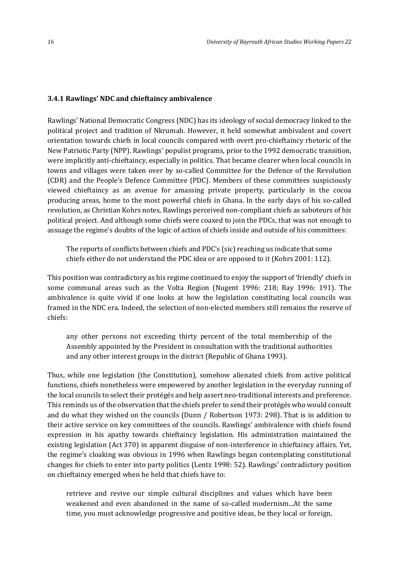#### **3.4.1 Rawlings' NDC and chieftaincy ambivalence**

Rawlings' National Democratic Congress (NDC) has its ideology of social democracy linked to the political project and tradition of Nkrumah. However, it held somewhat ambivalent and covert orientation towards chiefs in local councils compared with overt pro-chieftaincy rhetoric of the New Patriotic Party (NPP). Rawlings' populist programs, prior to the 1992 democratic transition, were implicitly anti-chieftaincy, especially in politics. That became clearer when local councils in towns and villages were taken over by so-called Committee for the Defence of the Revolution (CDR) and the People's Defence Committee (PDC). Members of these committees suspiciously viewed chieftaincy as an avenue for amassing private property, particularly in the cocoa producing areas, home to the most powerful chiefs in Ghana. In the early days of his so-called revolution, as Christian Kohrs notes, Rawlings perceived non-compliant chiefs as saboteurs of his political project. And although some chiefs were coaxed to join the PDCs, that was not enough to assuage the regime's doubts of the logic of action of chiefs inside and outside of his committees:

The reports of conflicts between chiefs and PDC's (sic) reaching us indicate that some chiefs either do not understand the PDC idea or are opposed to it (Kohrs 2001: 112).

This position was contradictory as his regime continued to enjoy the support of 'friendly' chiefs in some communal areas such as the Volta Region (Nugent 1996: 218; Ray 1996: 191). The ambivalence is quite vivid if one looks at how the legislation constituting local councils was framed in the NDC era. Indeed, the selection of non-elected members still remains the reserve of chiefs:

any other persons not exceeding thirty percent of the total membership of the Assembly appointed by the President in consultation with the traditional authorities and any other interest groups in the district (Republic of Ghana 1993).

Thus, while one legislation (the Constitution), somehow alienated chiefs from active political functions, chiefs nonetheless were empowered by another legislation in the everyday running of the local councils to select their protégés and help assert neo-traditional interests and preference. This reminds us of the observation that the chiefs prefer to send their protégés who would consult and do what they wished on the councils (Dunn / Robertson 1973: 298). That is in addition to their active service on key committees of the councils. Rawlings' ambivalence with chiefs found expression in his apathy towards chieftaincy legislation. His administration maintained the existing legislation (Act 370) in apparent disguise of non-interference in chieftaincy affairs. Yet, the regime's cloaking was obvious in 1996 when Rawlings began contemplating constitutional changes for chiefs to enter into party politics (Lentz 1998: 52). Rawlings' contradictory position on chieftaincy emerged when he held that chiefs have to:

retrieve and revive our simple cultural disciplines and values which have been weakened and even abandoned in the name of so-called modernism...At the same time, you must acknowledge progressive and positive ideas, be they local or foreign,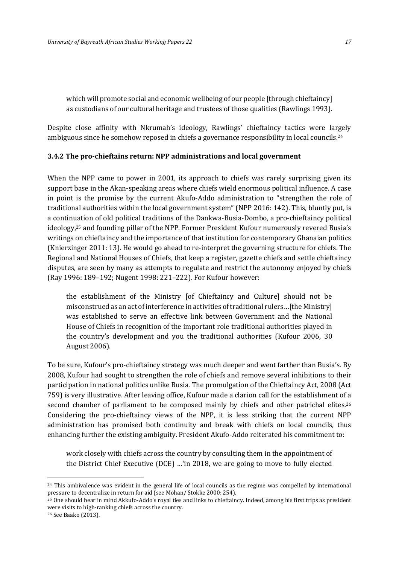which will promote social and economic wellbeing of our people [through chieftaincy] as custodians of our cultural heritage and trustees of those qualities (Rawlings 1993).

Despite close affinity with Nkrumah's ideology, Rawlings' chieftaincy tactics were largely ambiguous since he somehow reposed in chiefs a governance responsibility in local councils.<sup>24</sup>

#### **3.4.2 The pro-chieftains return: NPP administrations and local government**

When the NPP came to power in 2001, its approach to chiefs was rarely surprising given its support base in the Akan-speaking areas where chiefs wield enormous political influence. A case in point is the promise by the current Akufo-Addo administration to "strengthen the role of traditional authorities within the local government system" (NPP 2016: 142). This, bluntly put, is a continuation of old political traditions of the Dankwa-Busia-Dombo, a pro-chieftaincy political ideology,<sup>25</sup> and founding pillar of the NPP. Former President Kufour numerously revered Busia's writings on chieftaincy and the importance of that institution for contemporary Ghanaian politics (Knierzinger 2011: 13). He would go ahead to re-interpret the governing structure for chiefs. The Regional and National Houses of Chiefs, that keep a register, gazette chiefs and settle chieftaincy disputes, are seen by many as attempts to regulate and restrict the autonomy enjoyed by chiefs (Ray 1996: 189–192; Nugent 1998: 221–222). For Kufour however:

the establishment of the Ministry [of Chieftaincy and Culture] should not be misconstrued as an act of interference in activities of traditional rulers…[the Ministry] was established to serve an effective link between Government and the National House of Chiefs in recognition of the important role traditional authorities played in the country's development and you the traditional authorities (Kufour 2006, 30 August 2006).

To be sure, Kufour's pro-chieftaincy strategy was much deeper and went farther than Busia's. By 2008, Kufour had sought to strengthen the role of chiefs and remove several inhibitions to their participation in national politics unlike Busia. The promulgation of the Chieftaincy Act, 2008 (Act 759) is very illustrative. After leaving office, Kufour made a clarion call for the establishment of a second chamber of parliament to be composed mainly by chiefs and other patrichal elites.<sup>26</sup> Considering the pro-chieftaincy views of the NPP, it is less striking that the current NPP administration has promised both continuity and break with chiefs on local councils, thus enhancing further the existing ambiguity. President Akufo-Addo reiterated his commitment to:

work closely with chiefs across the country by consulting them in the appointment of the District Chief Executive (DCE) …'in 2018, we are going to move to fully elected

 $24$  This ambivalence was evident in the general life of local councils as the regime was compelled by international pressure to decentralize in return for aid (see Mohan/ Stokke 2000: 254).

<sup>25</sup> One should bear in mind Akkufo-Addo's royal ties and links to chieftaincy. Indeed, among his first trips as president were visits to high-ranking chiefs across the country.

<sup>26</sup> See Baako (2013).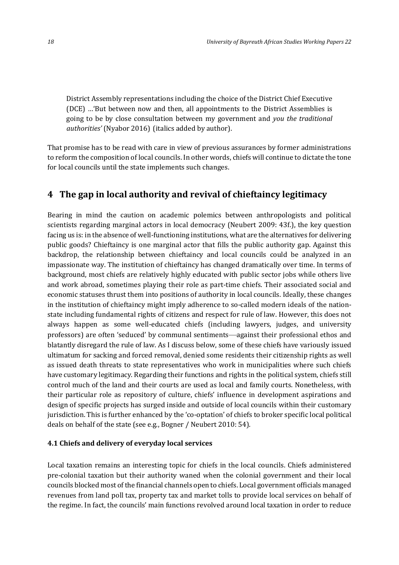District Assembly representations including the choice of the District Chief Executive (DCE) …'But between now and then, all appointments to the District Assemblies is going to be by close consultation between my government and *you the traditional authorities'* (Nyabor 2016) (italics added by author).

That promise has to be read with care in view of previous assurances by former administrations to reform the composition of local councils. In other words, chiefs will continue to dictate the tone for local councils until the state implements such changes.

#### **4 The gap in local authority and revival of chieftaincy legitimacy**

Bearing in mind the caution on academic polemics between anthropologists and political scientists regarding marginal actors in local democracy (Neubert 2009: 43f.), the key question facing us is: in the absence of well-functioning institutions, what are the alternatives for delivering public goods? Chieftaincy is one marginal actor that fills the public authority gap. Against this backdrop, the relationship between chieftaincy and local councils could be analyzed in an impassionate way. The institution of chieftaincy has changed dramatically over time. In terms of background, most chiefs are relatively highly educated with public sector jobs while others live and work abroad, sometimes playing their role as part-time chiefs. Their associated social and economic statuses thrust them into positions of authority in local councils. Ideally, these changes in the institution of chieftaincy might imply adherence to so-called modern ideals of the nationstate including fundamental rights of citizens and respect for rule of law. However, this does not always happen as some well-educated chiefs (including lawyers, judges, and university professors) are often 'seduced' by communal sentiments—against their professional ethos and blatantly disregard the rule of law. As I discuss below, some of these chiefs have variously issued ultimatum for sacking and forced removal, denied some residents their citizenship rights as well as issued death threats to state representatives who work in municipalities where such chiefs have customary legitimacy. Regarding their functions and rights in the political system, chiefs still control much of the land and their courts are used as local and family courts. Nonetheless, with their particular role as repository of culture, chiefs' influence in development aspirations and design of specific projects has surged inside and outside of local councils within their customary jurisdiction. This is further enhanced by the 'co-optation' of chiefs to broker specific local political deals on behalf of the state (see e.g., Bogner / Neubert 2010: 54).

#### **4.1 Chiefs and delivery of everyday local services**

Local taxation remains an interesting topic for chiefs in the local councils. Chiefs administered pre-colonial taxation but their authority waned when the colonial government and their local councils blocked most of the financial channels open to chiefs. Local government officials managed revenues from land poll tax, property tax and market tolls to provide local services on behalf of the regime. In fact, the councils' main functions revolved around local taxation in order to reduce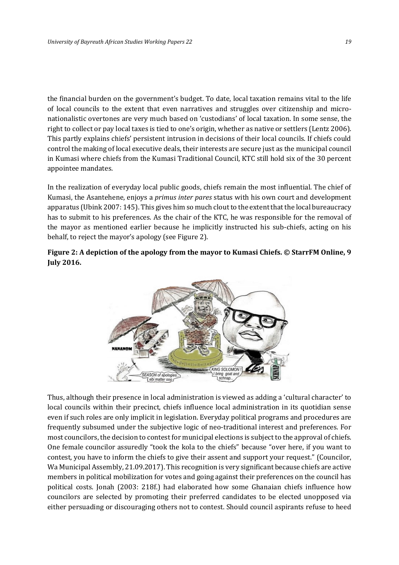the financial burden on the government's budget. To date, local taxation remains vital to the life of local councils to the extent that even narratives and struggles over citizenship and micronationalistic overtones are very much based on 'custodians' of local taxation. In some sense, the right to collect or pay local taxes is tied to one's origin, whether as native or settlers (Lentz 2006). This partly explains chiefs' persistent intrusion in decisions of their local councils. If chiefs could control the making of local executive deals, their interests are secure just as the municipal council in Kumasi where chiefs from the Kumasi Traditional Council, KTC still hold six of the 30 percent appointee mandates.

In the realization of everyday local public goods, chiefs remain the most influential. The chief of Kumasi, the Asantehene, enjoys a *primus inter pares* status with his own court and development apparatus (Ubink 2007: 145). This gives him so much clout to the extent that the local bureaucracy has to submit to his preferences. As the chair of the KTC, he was responsible for the removal of the mayor as mentioned earlier because he implicitly instructed his sub-chiefs, acting on his behalf, to reject the mayor's apology (see Figure 2).

#### **Figure 2: A depiction of the apology from the mayor to Kumasi Chiefs. © StarrFM Online, 9 July 2016.**



Thus, although their presence in local administration is viewed as adding a 'cultural character' to local councils within their precinct, chiefs influence local administration in its quotidian sense even if such roles are only implicit in legislation. Everyday political programs and procedures are frequently subsumed under the subjective logic of neo-traditional interest and preferences. For most councilors, the decision to contest for municipal elections is subject to the approval of chiefs. One female councilor assuredly "took the kola to the chiefs" because "over here, if you want to contest, you have to inform the chiefs to give their assent and support your request." (Councilor, Wa Municipal Assembly, 21.09.2017). This recognition is very significant because chiefs are active members in political mobilization for votes and going against their preferences on the council has political costs. Jonah (2003: 218f.) had elaborated how some Ghanaian chiefs influence how councilors are selected by promoting their preferred candidates to be elected unopposed via either persuading or discouraging others not to contest. Should council aspirants refuse to heed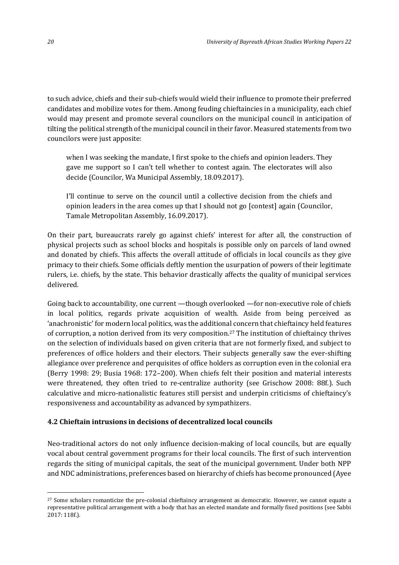to such advice, chiefs and their sub-chiefs would wield their influence to promote their preferred candidates and mobilize votes for them. Among feuding chieftaincies in a municipality, each chief would may present and promote several councilors on the municipal council in anticipation of tilting the political strength of the municipal council in their favor. Measured statements from two councilors were just apposite:

when I was seeking the mandate, I first spoke to the chiefs and opinion leaders. They gave me support so I can't tell whether to contest again. The electorates will also decide (Councilor, Wa Municipal Assembly, 18.09.2017).

I'll continue to serve on the council until a collective decision from the chiefs and opinion leaders in the area comes up that I should not go [contest] again (Councilor, Tamale Metropolitan Assembly, 16.09.2017).

On their part, bureaucrats rarely go against chiefs' interest for after all, the construction of physical projects such as school blocks and hospitals is possible only on parcels of land owned and donated by chiefs. This affects the overall attitude of officials in local councils as they give primacy to their chiefs. Some officials deftly mention the usurpation of powers of their legitimate rulers, i.e. chiefs, by the state. This behavior drastically affects the quality of municipal services delivered.

Going back to accountability, one current —though overlooked —for non-executive role of chiefs in local politics, regards private acquisition of wealth. Aside from being perceived as 'anachronistic' for modern local politics, was the additional concern that chieftaincy held features of corruption, a notion derived from its very composition.<sup>27</sup> The institution of chieftaincy thrives on the selection of individuals based on given criteria that are not formerly fixed, and subject to preferences of office holders and their electors. Their subjects generally saw the ever-shifting allegiance over preference and perquisites of office holders as corruption even in the colonial era (Berry 1998: 29; Busia 1968: 172–200). When chiefs felt their position and material interests were threatened, they often tried to re-centralize authority (see Grischow 2008: 88f.). Such calculative and micro-nationalistic features still persist and underpin criticisms of chieftaincy's responsiveness and accountability as advanced by sympathizers.

#### **4.2 Chieftain intrusions in decisions of decentralized local councils**

Neo-traditional actors do not only influence decision-making of local councils, but are equally vocal about central government programs for their local councils. The first of such intervention regards the siting of municipal capitals, the seat of the municipal government. Under both NPP and NDC administrations, preferences based on hierarchy of chiefs has become pronounced (Ayee

 $\overline{a}$ <sup>27</sup> Some scholars romanticize the pre-colonial chieftaincy arrangement as democratic. However, we cannot equate a representative political arrangement with a body that has an elected mandate and formally fixed positions (see Sabbi 2017: 118f.).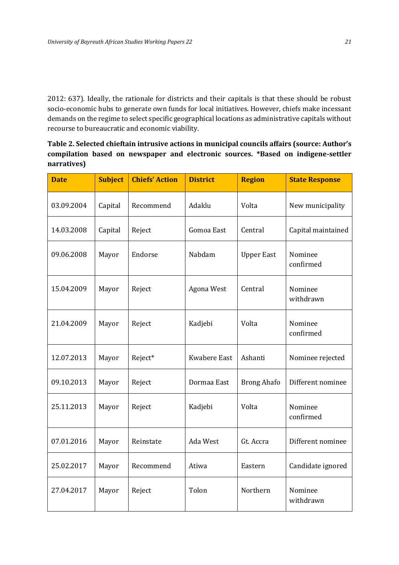2012: 637). Ideally, the rationale for districts and their capitals is that these should be robust socio-economic hubs to generate own funds for local initiatives. However, chiefs make incessant demands on the regime to select specific geographical locations as administrative capitals without recourse to bureaucratic and economic viability.

**Table 2. Selected chieftain intrusive actions in municipal councils affairs (source: Author's compilation based on newspaper and electronic sources. \*Based on indigene-settler narratives)**

| <b>Date</b>           | <b>Subject</b> | <b>Chiefs' Action</b> | <b>District</b>     | <b>Region</b>      | <b>State Response</b> |
|-----------------------|----------------|-----------------------|---------------------|--------------------|-----------------------|
| 03.09.2004<br>Capital |                | Recommend             | Adaklu              | Volta              | New municipality      |
| 14.03.2008<br>Capital |                | Reject                | Gomoa East          | Central            | Capital maintained    |
| 09.06.2008            | Mayor          | Endorse               | Nabdam              | <b>Upper East</b>  | Nominee<br>confirmed  |
| 15.04.2009            | Mayor          | Reject                | Agona West          | Central            | Nominee<br>withdrawn  |
| 21.04.2009            | Mayor          | Reject                | Kadjebi             | Volta              | Nominee<br>confirmed  |
| 12.07.2013            | Mayor          | Reject*               | <b>Kwabere East</b> | Ashanti            | Nominee rejected      |
| 09.10.2013            | Mayor          | Reject                | Dormaa East         | <b>Brong Ahafo</b> | Different nominee     |
| 25.11.2013            | Mayor          | Reject                | Kadjebi             | Volta              | Nominee<br>confirmed  |
| 07.01.2016            | Mayor          | Reinstate             | Ada West            | Gt. Accra          | Different nominee     |
| 25.02.2017            | Mayor          | Recommend             | Atiwa               | Eastern            | Candidate ignored     |
| 27.04.2017            | Mayor          | Reject                | Tolon               | Northern           | Nominee<br>withdrawn  |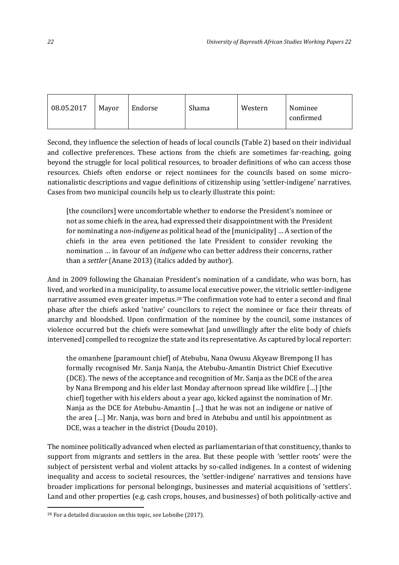| 08.05.2017 | Mayor | Endorse | Shama | Western | Nominee<br>confirmed |
|------------|-------|---------|-------|---------|----------------------|
|            |       |         |       |         |                      |

Second, they influence the selection of heads of local councils (Table 2) based on their individual and collective preferences. These actions from the chiefs are sometimes far-reaching, going beyond the struggle for local political resources, to broader definitions of who can access those resources. Chiefs often endorse or reject nominees for the councils based on some micronationalistic descriptions and vague definitions of citizenship using 'settler-indigene' narratives. Cases from two municipal councils help us to clearly illustrate this point:

[the councilors] were uncomfortable whether to endorse the President's nominee or not as some chiefs in the area, had expressed their disappointment with the President for nominating a *non-indigene* as political head of the [municipality] … A section of the chiefs in the area even petitioned the late President to consider revoking the nomination … in favour of an *indigene* who can better address their concerns, rather than a *settler* (Anane 2013) (italics added by author).

And in 2009 following the Ghanaian President's nomination of a candidate, who was born, has lived, and worked in a municipality, to assume local executive power, the vitriolic settler-indigene narrative assumed even greater impetus.<sup>28</sup> The confirmation vote had to enter a second and final phase after the chiefs asked 'native' councilors to reject the nominee or face their threats of anarchy and bloodshed. Upon confirmation of the nominee by the council, some instances of violence occurred but the chiefs were somewhat [and unwillingly after the elite body of chiefs intervened] compelled to recognize the state and its representative. As captured by local reporter:

the omanhene [paramount chief] of Atebubu, Nana Owusu Akyeaw Brempong II has formally recognised Mr. Sanja Nanja, the Atebubu-Amantin District Chief Executive (DCE). The news of the acceptance and recognition of Mr. Sanja as the DCE of the area by Nana Brempong and his elder last Monday afternoon spread like wildfire […] [the chief] together with his elders about a year ago, kicked against the nomination of Mr. Nanja as the DCE for Atebubu-Amantin […] that he was not an indigene or native of the area […] Mr. Nanja, was born and bred in Atebubu and until his appointment as DCE, was a teacher in the district (Doudu 2010).

The nominee politically advanced when elected as parliamentarian of that constituency, thanks to support from migrants and settlers in the area. But these people with 'settler roots' were the subject of persistent verbal and violent attacks by so-called indigenes. In a contest of widening inequality and access to societal resources, the 'settler-indigene' narratives and tensions have broader implications for personal belongings, businesses and material acquisitions of 'settlers'. Land and other properties (e.g. cash crops, houses, and businesses) of both politically-active and

<sup>28</sup> For a detailed discussion on this topic, see Lobnibe (2017).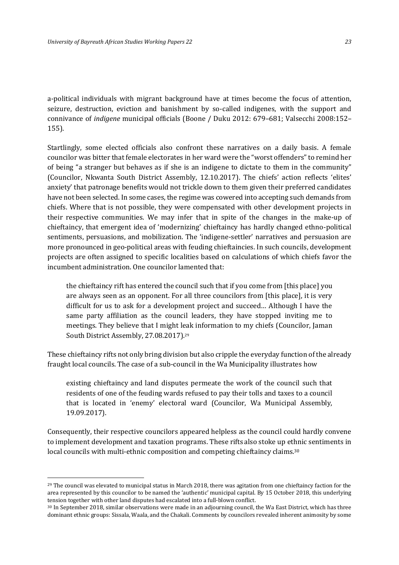a-political individuals with migrant background have at times become the focus of attention, seizure, destruction, eviction and banishment by so-called indigenes, with the support and connivance of *indigene* municipal officials (Boone / Duku 2012: 679–681; Valsecchi 2008:152– 155).

Startlingly, some elected officials also confront these narratives on a daily basis. A female councilor was bitter that female electorates in her ward were the "worst offenders" to remind her of being "a stranger but behaves as if she is an indigene to dictate to them in the community" (Councilor, Nkwanta South District Assembly, 12.10.2017). The chiefs' action reflects 'elites' anxiety' that patronage benefits would not trickle down to them given their preferred candidates have not been selected. In some cases, the regime was cowered into accepting such demands from chiefs. Where that is not possible, they were compensated with other development projects in their respective communities. We may infer that in spite of the changes in the make-up of chieftaincy, that emergent idea of 'modernizing' chieftaincy has hardly changed ethno-political sentiments, persuasions, and mobilization. The 'indigene-settler' narratives and persuasion are more pronounced in geo-political areas with feuding chieftaincies. In such councils, development projects are often assigned to specific localities based on calculations of which chiefs favor the incumbent administration. One councilor lamented that:

the chieftaincy rift has entered the council such that if you come from [this place] you are always seen as an opponent. For all three councilors from [this place], it is very difficult for us to ask for a development project and succeed… Although I have the same party affiliation as the council leaders, they have stopped inviting me to meetings. They believe that I might leak information to my chiefs (Councilor, Jaman South District Assembly, 27.08.2017). 29

These chieftaincy rifts not only bring division but also cripple the everyday function of the already fraught local councils. The case of a sub-council in the Wa Municipality illustrates how

existing chieftaincy and land disputes permeate the work of the council such that residents of one of the feuding wards refused to pay their tolls and taxes to a council that is located in 'enemy' electoral ward (Councilor, Wa Municipal Assembly, 19.09.2017).

Consequently, their respective councilors appeared helpless as the council could hardly convene to implement development and taxation programs. These rifts also stoke up ethnic sentiments in local councils with multi-ethnic composition and competing chieftaincy claims.<sup>30</sup>

 $29$  The council was elevated to municipal status in March 2018, there was agitation from one chieftaincy faction for the area represented by this councilor to be named the 'authentic' municipal capital. By 15 October 2018, this underlying tension together with other land disputes had escalated into a full-blown conflict.

<sup>30</sup> In September 2018, similar observations were made in an adjourning council, the Wa East District, which has three dominant ethnic groups: Sissala, Waala, and the Chakali. Comments by councilors revealed inherent animosity by some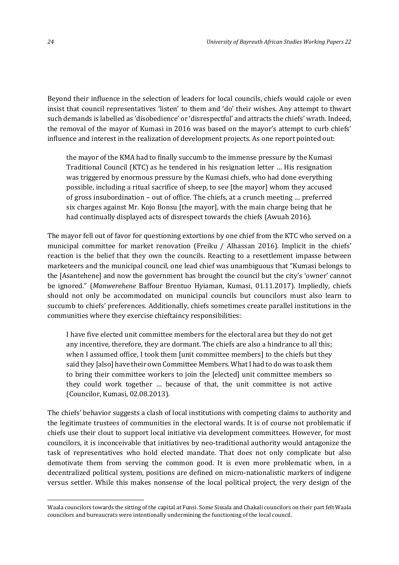Beyond their influence in the selection of leaders for local councils, chiefs would cajole or even insist that council representatives 'listen' to them and 'do' their wishes. Any attempt to thwart such demands is labelled as 'disobedience' or 'disrespectful' and attracts the chiefs' wrath. Indeed, the removal of the mayor of Kumasi in 2016 was based on the mayor's attempt to curb chiefs' influence and interest in the realization of development projects. As one report pointed out:

the mayor of the KMA had to finally succumb to the immense pressure by the Kumasi Traditional Council (KTC) as he tendered in his resignation letter … His resignation was triggered by enormous pressure by the Kumasi chiefs, who had done everything possible, including a ritual sacrifice of sheep, to see [the mayor] whom they accused of gross insubordination – out of office. The chiefs, at a crunch meeting … preferred six charges against Mr. Kojo Bonsu [the mayor], with the main charge being that he had continually displayed acts of disrespect towards the chiefs (Awuah 2016).

The mayor fell out of favor for questioning extortions by one chief from the KTC who served on a municipal committee for market renovation (Freiku / Alhassan 2016). Implicit in the chiefs' reaction is the belief that they own the councils. Reacting to a resettlement impasse between marketeers and the municipal council, one lead chief was unambiguous that "Kumasi belongs to the [Asantehene] and now the government has brought the council but the city's 'owner' cannot be ignored." (*Manwerehene* Baffour Brentuo Hyiaman, Kumasi, 01.11.2017). Impliedly, chiefs should not only be accommodated on municipal councils but councilors must also learn to succumb to chiefs' preferences. Additionally, chiefs sometimes create parallel institutions in the communities where they exercise chieftaincy responsibilities:

I have five elected unit committee members for the electoral area but they do not get any incentive, therefore, they are dormant. The chiefs are also a hindrance to all this; when I assumed office, I took them [unit committee members] to the chiefs but they said they [also] have their own Committee Members. What I had to do was to ask them to bring their committee workers to join the [elected] unit committee members so they could work together … because of that, the unit committee is not active (Councilor, Kumasi, 02.08.2013).

The chiefs' behavior suggests a clash of local institutions with competing claims to authority and the legitimate trustees of communities in the electoral wards. It is of course not problematic if chiefs use their clout to support local initiative via development committees. However, for most councilors, it is inconceivable that initiatives by neo-traditional authority would antagonize the task of representatives who hold elected mandate. That does not only complicate but also demotivate them from serving the common good. It is even more problematic when, in a decentralized political system, positions are defined on micro-nationalistic markers of indigene versus settler. While this makes nonsense of the local political project, the very design of the

Waala councilors towards the sitting of the capital at Funsi. Some Sissala and Chakali councilors on their part felt Waala councilors and bureaucrats were intentionally undermining the functioning of the local council.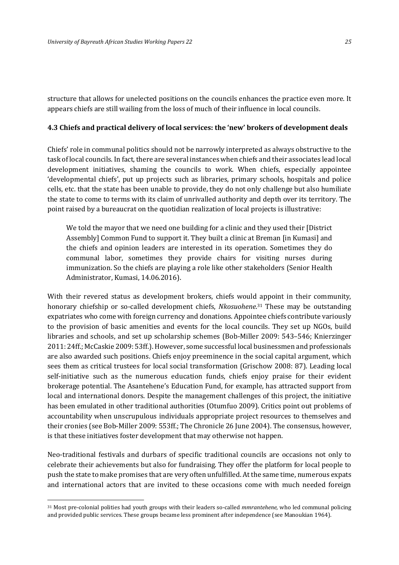structure that allows for unelected positions on the councils enhances the practice even more. It appears chiefs are still wailing from the loss of much of their influence in local councils.

#### **4.3 Chiefs and practical delivery of local services: the 'new' brokers of development deals**

Chiefs' role in communal politics should not be narrowly interpreted as always obstructive to the task of local councils. In fact, there are several instances when chiefs and their associates lead local development initiatives, shaming the councils to work. When chiefs, especially appointee 'developmental chiefs', put up projects such as libraries, primary schools, hospitals and police cells, etc. that the state has been unable to provide, they do not only challenge but also humiliate the state to come to terms with its claim of unrivalled authority and depth over its territory. The point raised by a bureaucrat on the quotidian realization of local projects is illustrative:

We told the mayor that we need one building for a clinic and they used their [District] Assembly] Common Fund to support it. They built a clinic at Breman [in Kumasi] and the chiefs and opinion leaders are interested in its operation. Sometimes they do communal labor, sometimes they provide chairs for visiting nurses during immunization. So the chiefs are playing a role like other stakeholders (Senior Health Administrator, Kumasi, 14.06.2016).

With their revered status as development brokers, chiefs would appoint in their community, honorary chiefship or so-called development chiefs, *Nkosuohene*. <sup>31</sup> These may be outstanding expatriates who come with foreign currency and donations. Appointee chiefs contribute variously to the provision of basic amenities and events for the local councils. They set up NGOs, build libraries and schools, and set up scholarship schemes (Bob-Miller 2009: 543–546; Knierzinger 2011: 24ff.; McCaskie 2009: 53ff.). However, some successful local businessmen and professionals are also awarded such positions. Chiefs enjoy preeminence in the social capital argument, which sees them as critical trustees for local social transformation (Grischow 2008: 87). Leading local self-initiative such as the numerous education funds, chiefs enjoy praise for their evident brokerage potential. The Asantehene's Education Fund, for example, has attracted support from local and international donors. Despite the management challenges of this project, the initiative has been emulated in other traditional authorities (Otumfuo 2009). Critics point out problems of accountability when unscrupulous individuals appropriate project resources to themselves and their cronies (see Bob-Miller 2009: 553ff.; The Chronicle 26 June 2004). The consensus, however, is that these initiatives foster development that may otherwise not happen.

Neo-traditional festivals and durbars of specific traditional councils are occasions not only to celebrate their achievements but also for fundraising. They offer the platform for local people to push the state to make promises that are very often unfulfilled. At the same time, numerous expats and international actors that are invited to these occasions come with much needed foreign

<sup>31</sup> Most pre-colonial polities had youth groups with their leaders so-called *mmrantehene,* who led communal policing and provided public services. These groups became less prominent after independence (see Manoukian 1964).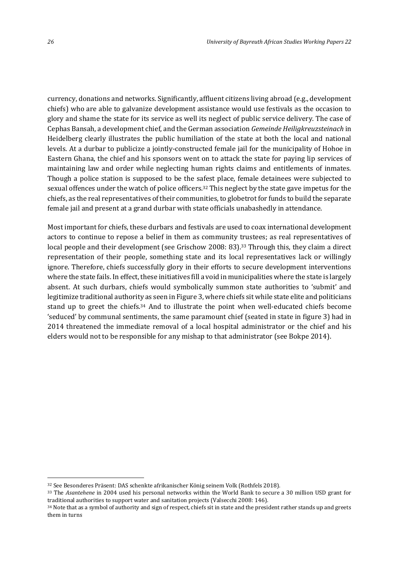currency, donations and networks. Significantly, affluent citizens living abroad (e.g., development chiefs) who are able to galvanize development assistance would use festivals as the occasion to glory and shame the state for its service as well its neglect of public service delivery. The case of Cephas Bansah, a development chief, and the German association *Gemeinde Heiligkreuzsteinach* in Heidelberg clearly illustrates the public humiliation of the state at both the local and national levels. At a durbar to publicize a jointly-constructed female jail for the municipality of Hohoe in Eastern Ghana, the chief and his sponsors went on to attack the state for paying lip services of maintaining law and order while neglecting human rights claims and entitlements of inmates. Though a police station is supposed to be the safest place, female detainees were subjected to sexual offences under the watch of police officers.<sup>32</sup> This neglect by the state gave impetus for the chiefs, as the real representatives of their communities, to globetrot for funds to build the separate female jail and present at a grand durbar with state officials unabashedly in attendance.

Most important for chiefs, these durbars and festivals are used to coax international development actors to continue to repose a belief in them as community trustees; as real representatives of local people and their development (see Grischow 2008: 83).<sup>33</sup> Through this, they claim a direct representation of their people, something state and its local representatives lack or willingly ignore. Therefore, chiefs successfully glory in their efforts to secure development interventions where the state fails. In effect, these initiatives fill a void in municipalities where the state is largely absent. At such durbars, chiefs would symbolically summon state authorities to 'submit' and legitimize traditional authority as seen in Figure 3, where chiefs sit while state elite and politicians stand up to greet the chiefs.<sup>34</sup> And to illustrate the point when well-educated chiefs become 'seduced' by communal sentiments, the same paramount chief (seated in state in figure 3) had in 2014 threatened the immediate removal of a local hospital administrator or the chief and his elders would not to be responsible for any mishap to that administrator (see Bokpe 2014).

<sup>32</sup> See Besonderes Präsent: DAS schenkte afrikanischer König seinem Volk (Rothfels 2018).

<sup>33</sup> The *Asantehene* in 2004 used his personal networks within the World Bank to secure a 30 million USD grant for traditional authorities to support water and sanitation projects (Valsecchi 2008: 146).

<sup>&</sup>lt;sup>34</sup> Note that as a symbol of authority and sign of respect, chiefs sit in state and the president rather stands up and greets them in turns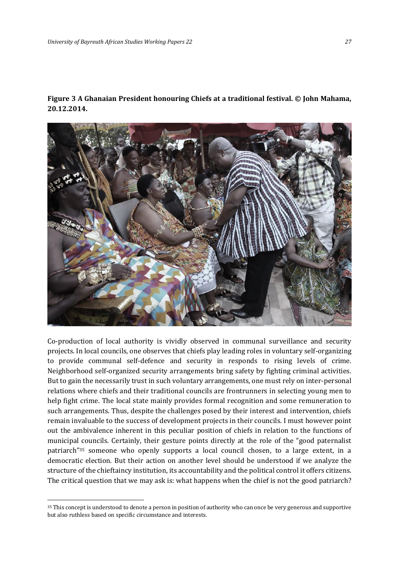**Figure 3 A Ghanaian President honouring Chiefs at a traditional festival. © John Mahama, 20.12.2014.** 



Co-production of local authority is vividly observed in communal surveillance and security projects. In local councils, one observes that chiefs play leading roles in voluntary self-organizing to provide communal self-defence and security in responds to rising levels of crime. Neighborhood self-organized security arrangements bring safety by fighting criminal activities. But to gain the necessarily trust in such voluntary arrangements, one must rely on inter-personal relations where chiefs and their traditional councils are frontrunners in selecting young men to help fight crime. The local state mainly provides formal recognition and some remuneration to such arrangements. Thus, despite the challenges posed by their interest and intervention, chiefs remain invaluable to the success of development projects in their councils. I must however point out the ambivalence inherent in this peculiar position of chiefs in relation to the functions of municipal councils. Certainly, their gesture points directly at the role of the "good paternalist patriarch"<sup>35</sup> someone who openly supports a local council chosen, to a large extent, in a democratic election. But their action on another level should be understood if we analyze the structure of the chieftaincy institution, its accountability and the political control it offers citizens. The critical question that we may ask is: what happens when the chief is not the good patriarch?

<sup>&</sup>lt;sup>35</sup> This concept is understood to denote a person in position of authority who can once be very generous and supportive but also ruthless based on specific circumstance and interests.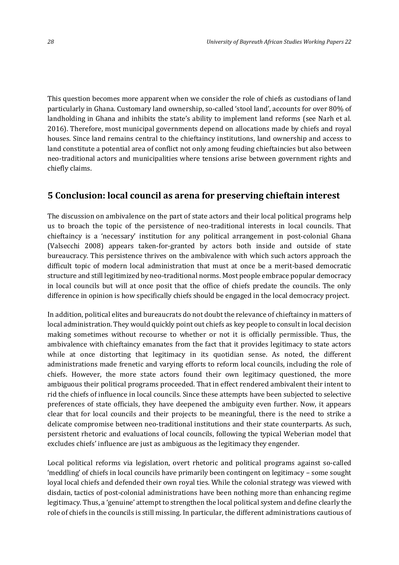This question becomes more apparent when we consider the role of chiefs as custodians of land particularly in Ghana. Customary land ownership, so-called 'stool land', accounts for over 80% of landholding in Ghana and inhibits the state's ability to implement land reforms (see Narh et al. 2016). Therefore, most municipal governments depend on allocations made by chiefs and royal houses. Since land remains central to the chieftaincy institutions, land ownership and access to land constitute a potential area of conflict not only among feuding chieftaincies but also between neo-traditional actors and municipalities where tensions arise between government rights and chiefly claims.

#### **5 Conclusion: local council as arena for preserving chieftain interest**

The discussion on ambivalence on the part of state actors and their local political programs help us to broach the topic of the persistence of neo-traditional interests in local councils. That chieftaincy is a 'necessary' institution for any political arrangement in post-colonial Ghana (Valsecchi 2008) appears taken-for-granted by actors both inside and outside of state bureaucracy. This persistence thrives on the ambivalence with which such actors approach the difficult topic of modern local administration that must at once be a merit-based democratic structure and still legitimized by neo-traditional norms. Most people embrace popular democracy in local councils but will at once posit that the office of chiefs predate the councils. The only difference in opinion is how specifically chiefs should be engaged in the local democracy project.

In addition, political elites and bureaucrats do not doubt the relevance of chieftaincy in matters of local administration. They would quickly point out chiefs as key people to consult in local decision making sometimes without recourse to whether or not it is officially permissible. Thus, the ambivalence with chieftaincy emanates from the fact that it provides legitimacy to state actors while at once distorting that legitimacy in its quotidian sense. As noted, the different administrations made frenetic and varying efforts to reform local councils, including the role of chiefs. However, the more state actors found their own legitimacy questioned, the more ambiguous their political programs proceeded. That in effect rendered ambivalent their intent to rid the chiefs of influence in local councils. Since these attempts have been subjected to selective preferences of state officials, they have deepened the ambiguity even further. Now, it appears clear that for local councils and their projects to be meaningful, there is the need to strike a delicate compromise between neo-traditional institutions and their state counterparts. As such, persistent rhetoric and evaluations of local councils, following the typical Weberian model that excludes chiefs' influence are just as ambiguous as the legitimacy they engender.

Local political reforms via legislation, overt rhetoric and political programs against so-called 'meddling' of chiefs in local councils have primarily been contingent on legitimacy – some sought loyal local chiefs and defended their own royal ties. While the colonial strategy was viewed with disdain, tactics of post-colonial administrations have been nothing more than enhancing regime legitimacy. Thus, a 'genuine' attempt to strengthen the local political system and define clearly the role of chiefs in the councils is still missing. In particular, the different administrations cautious of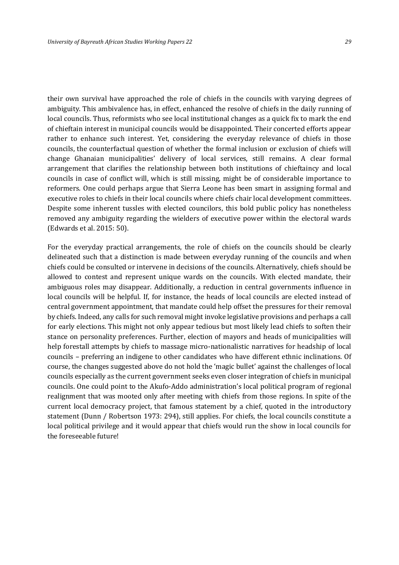their own survival have approached the role of chiefs in the councils with varying degrees of ambiguity. This ambivalence has, in effect, enhanced the resolve of chiefs in the daily running of local councils. Thus, reformists who see local institutional changes as a quick fix to mark the end of chieftain interest in municipal councils would be disappointed. Their concerted efforts appear rather to enhance such interest. Yet, considering the everyday relevance of chiefs in those councils, the counterfactual question of whether the formal inclusion or exclusion of chiefs will change Ghanaian municipalities' delivery of local services, still remains. A clear formal arrangement that clarifies the relationship between both institutions of chieftaincy and local councils in case of conflict will, which is still missing, might be of considerable importance to reformers. One could perhaps argue that Sierra Leone has been smart in assigning formal and executive roles to chiefs in their local councils where chiefs chair local development committees. Despite some inherent tussles with elected councilors, this bold public policy has nonetheless removed any ambiguity regarding the wielders of executive power within the electoral wards (Edwards et al. 2015: 50).

For the everyday practical arrangements, the role of chiefs on the councils should be clearly delineated such that a distinction is made between everyday running of the councils and when chiefs could be consulted or intervene in decisions of the councils. Alternatively, chiefs should be allowed to contest and represent unique wards on the councils. With elected mandate, their ambiguous roles may disappear. Additionally, a reduction in central governments influence in local councils will be helpful. If, for instance, the heads of local councils are elected instead of central government appointment, that mandate could help offset the pressures for their removal by chiefs. Indeed, any calls for such removal might invoke legislative provisions and perhaps a call for early elections. This might not only appear tedious but most likely lead chiefs to soften their stance on personality preferences. Further, election of mayors and heads of municipalities will help forestall attempts by chiefs to massage micro-nationalistic narratives for headship of local councils – preferring an indigene to other candidates who have different ethnic inclinations. Of course, the changes suggested above do not hold the 'magic bullet' against the challenges of local councils especially as the current government seeks even closer integration of chiefs in municipal councils. One could point to the Akufo-Addo administration's local political program of regional realignment that was mooted only after meeting with chiefs from those regions. In spite of the current local democracy project, that famous statement by a chief, quoted in the introductory statement (Dunn / Robertson 1973: 294), still applies. For chiefs, the local councils constitute a local political privilege and it would appear that chiefs would run the show in local councils for the foreseeable future!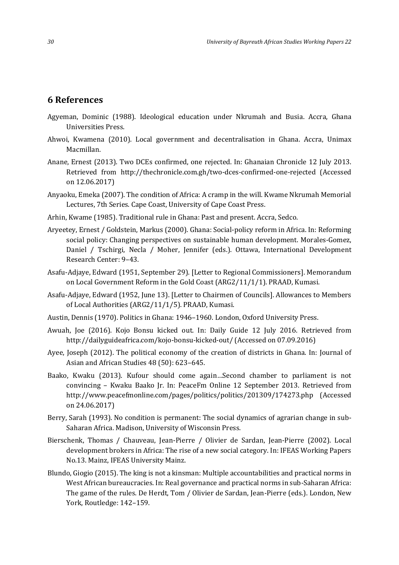#### **6 References**

- Agyeman, Dominic (1988). Ideological education under Nkrumah and Busia. Accra, Ghana Universities Press.
- Ahwoi, Kwamena (2010). Local government and decentralisation in Ghana. Accra, Unimax Macmillan.
- Anane, Ernest (2013). Two DCEs confirmed, one rejected. In: Ghanaian Chronicle 12 July 2013. Retrieved from <http://thechronicle.com.gh/two-dces-confirmed-one-rejected> (Accessed on 12.06.2017)
- Anyaoku, Emeka (2007). The condition of Africa: A cramp in the will. Kwame Nkrumah Memorial Lectures, 7th Series. Cape Coast, University of Cape Coast Press.
- Arhin, Kwame (1985). Traditional rule in Ghana: Past and present. Accra, Sedco.
- Aryeetey, Ernest / Goldstein, Markus (2000). Ghana: Social-policy reform in Africa. In: Reforming social policy: Changing perspectives on sustainable human development. Morales-Gomez, Daniel / Tschirgi, Necla / Moher, Jennifer (eds.). Ottawa, International Development Research Center: 9–43.
- Asafu-Adjaye, Edward (1951, September 29). [Letter to Regional Commissioners]. Memorandum on Local Government Reform in the Gold Coast (ARG2/11/1/1). PRAAD, Kumasi.
- Asafu-Adjaye, Edward (1952, June 13). [Letter to Chairmen of Councils]. Allowances to Members of Local Authorities (ARG2/11/1/5). PRAAD, Kumasi.
- Austin, Dennis (1970). Politics in Ghana: 1946–1960. London, Oxford University Press.
- Awuah, Joe (2016). Kojo Bonsu kicked out. In: Daily Guide 12 July 2016. Retrieved from http://dailyguideafrica.com/kojo-bonsu-kicked-out/ (Accessed on 07.09.2016)
- Ayee, Joseph (2012). The political economy of the creation of districts in Ghana. In: Journal of Asian and African Studies 48 (50): 623–645.
- Baako, Kwaku (2013). Kufour should come again…Second chamber to parliament is not convincing – Kwaku Baako Jr. In: PeaceFm Online 12 September 2013. Retrieved from http://www.peacefmonline.com/pages/politics/politics/201309/174273.php (Accessed on 24.06.2017)
- Berry, Sarah (1993). No condition is permanent: The social dynamics of agrarian change in sub-Saharan Africa. Madison, University of Wisconsin Press.
- Bierschenk, Thomas / Chauveau, Jean-Pierre / Olivier de Sardan, Jean-Pierre (2002). Local development brokers in Africa: The rise of a new social category. In: IFEAS Working Papers No.13. Mainz, IFEAS University Mainz.
- Blundo, Giogio (2015). The king is not a kinsman: Multiple accountabilities and practical norms in West African bureaucracies. In: Real governance and practical norms in sub-Saharan Africa: The game of the rules. De Herdt, Tom / Olivier de Sardan, Jean-Pierre (eds.). London, New York, Routledge: 142–159.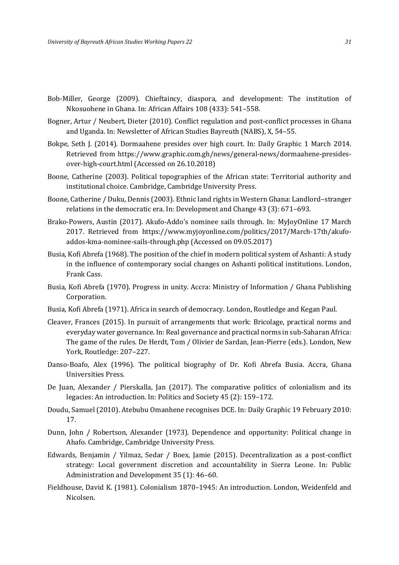- Bob-Miller, George (2009). Chieftaincy, diaspora, and development: The institution of Nkosuohene in Ghana. In: African Affairs 108 (433): 541–558.
- Bogner, Artur / Neubert, Dieter (2010). Conflict regulation and post-conflict processes in Ghana and Uganda. In: Newsletter of African Studies Bayreuth (NABS), X, 54–55.
- Bokpe, Seth J. (2014). Dormaahene presides over high court. In: Daily Graphic 1 March 2014. Retrieved from https://www.graphic.com.gh/news/general-news/dormaahene-presidesover-high-court.html (Accessed on 26.10.2018)
- Boone, Catherine (2003). Political topographies of the African state: Territorial authority and institutional choice. Cambridge, Cambridge University Press.
- Boone, Catherine / Duku, Dennis (2003). Ethnic land rights in Western Ghana: Landlord–stranger relations in the democratic era. In: Development and Change 43 (3): 671–693.
- Brako-Powers, Austin (2017). Akufo-Addo's nominee sails through. In: MyJoyOnline 17 March 2017. Retrieved from https://www.myjoyonline.com/politics/2017/March-17th/akufoaddos-kma-nominee-sails-through.php (Accessed on 09.05.2017)
- Busia, Kofi Abrefa (1968). The position of the chief in modern political system of Ashanti: A study in the influence of contemporary social changes on Ashanti political institutions. London, Frank Cass.
- Busia, Kofi Abrefa (1970). Progress in unity. Accra: Ministry of Information / Ghana Publishing Corporation.
- Busia, Kofi Abrefa (1971). Africa in search of democracy. London, Routledge and Kegan Paul.
- Cleaver, Frances (2015). In pursuit of arrangements that work: Bricolage, practical norms and everyday water governance. In: Real governance and practical norms in sub-Saharan Africa: The game of the rules. De Herdt, Tom / Olivier de Sardan, Jean-Pierre (eds.). London, New York, Routledge: 207–227.
- Danso-Boafo, Alex (1996). The political biography of Dr. Kofi Abrefa Busia. Accra, Ghana Universities Press.
- De Juan, Alexander / Pierskalla, Jan (2017). The comparative politics of colonialism and its legacies: An introduction. In: Politics and Society 45 (2): 159–172.
- Doudu, Samuel (2010). Atebubu Omanhene recognises DCE. In: Daily Graphic 19 February 2010: 17.
- Dunn, John / Robertson, Alexander (1973). Dependence and opportunity: Political change in Ahafo. Cambridge, Cambridge University Press.
- Edwards, Benjamin / Yilmaz, Sedar / Boex, Jamie (2015). Decentralization as a post-conflict strategy: Local government discretion and accountability in Sierra Leone. In: Public Administration and Development 35 (1): 46–60.
- Fieldhouse, David K. (1981). Colonialism 1870–1945: An introduction. London, Weidenfeld and Nicolsen.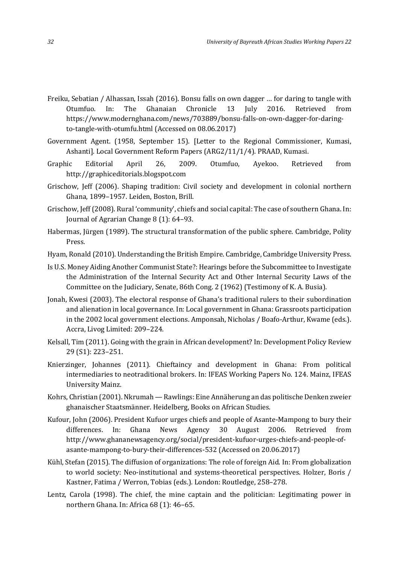- Freiku, Sebatian / Alhassan, Issah (2016). Bonsu falls on own dagger … for daring to tangle with Otumfuo. In: The Ghanaian Chronicle 13 July 2016. Retrieved from https://www.modernghana.com/news/703889/bonsu-falls-on-own-dagger-for-daringto-tangle-with-otumfu.html (Accessed on 08.06.2017)
- Government Agent. (1958, September 15). [Letter to the Regional Commissioner, Kumasi, Ashanti]. Local Government Reform Papers (ARG2/11/1/4). PRAAD, Kumasi.
- Graphic Editorial April 26, 2009. Otumfuo, Ayekoo. Retrieved from http://graphiceditorials.blogspot.com
- Grischow, Jeff (2006). Shaping tradition: Civil society and development in colonial northern Ghana, 1899–1957. Leiden, Boston, Brill.
- Grischow, Jeff (2008). Rural 'community', chiefs and social capital: The case of southern Ghana. In: Journal of Agrarian Change 8 (1): 64–93.
- Habermas, Jürgen (1989). The structural transformation of the public sphere. Cambridge, Polity Press.
- Hyam, Ronald (2010). Understanding the British Empire. Cambridge, Cambridge University Press.
- Is U.S. Money Aiding Another Communist State?: Hearings before the Subcommittee to Investigate the Administration of the Internal Security Act and Other Internal Security Laws of the Committee on the Judiciary, Senate, 86th Cong. 2 (1962) (Testimony of K. A. Busia).
- Jonah, Kwesi (2003). The electoral response of Ghana's traditional rulers to their subordination and alienation in local governance. In: Local government in Ghana: Grassroots participation in the 2002 local government elections. Amponsah, Nicholas / Boafo-Arthur, Kwame (eds.). Accra, Livog Limited: 209–224.
- Kelsall, Tim (2011). Going with the grain in African development? In: Development Policy Review 29 (S1): 223–251.
- Knierzinger, Johannes (2011). Chieftaincy and development in Ghana: From political intermediaries to neotraditional brokers. In: IFEAS Working Papers No. 124. Mainz, IFEAS University Mainz.
- Kohrs, Christian (2001). Nkrumah Rawlings: Eine Annäherung an das politische Denken zweier ghanaischer Staatsmänner. Heidelberg, Books on African Studies.
- Kufour, John (2006). President Kufuor urges chiefs and people of Asante-Mampong to bury their differences. In: Ghana News Agency 30 August 2006. Retrieved from http://www.ghananewsagency.org/social/president-kufuor-urges-chiefs-and-people-ofasante-mampong-to-bury-their-differences-532 (Accessed on 20.06.2017)
- Kühl, Stefan (2015). The diffusion of organizations: The role of foreign Aid. In: From globalization to world society: Neo-institutional and systems-theoretical perspectives. Holzer, Boris / Kastner, Fatima / Werron, Tobias (eds.). London: Routledge, 258–278.
- Lentz, Carola (1998). The chief, the mine captain and the politician: Legitimating power in northern Ghana. In: Africa 68 (1): 46–65.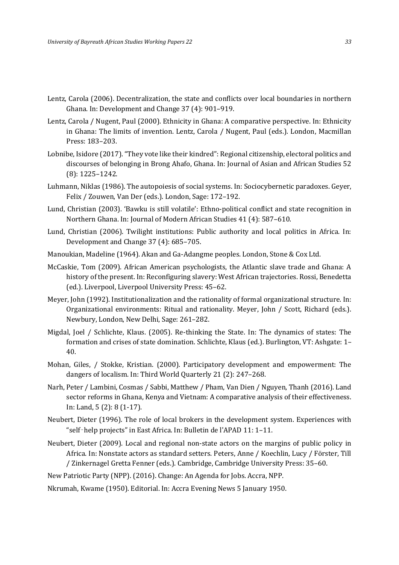- Lentz, Carola (2006). Decentralization, the state and conflicts over local boundaries in northern Ghana. In: Development and Change 37 (4): 901–919.
- Lentz, Carola / Nugent, Paul (2000). Ethnicity in Ghana: A comparative perspective. In: Ethnicity in Ghana: The limits of invention. Lentz, Carola / Nugent, Paul (eds.). London, Macmillan Press: 183–203.
- Lobnibe, Isidore (2017). "They vote like their kindred": Regional citizenship, electoral politics and discourses of belonging in Brong Ahafo, Ghana. In: Journal of Asian and African Studies 52 (8): 1225–1242.
- Luhmann, Niklas (1986). The autopoiesis of social systems. In: Sociocybernetic paradoxes. Geyer, Felix / Zouwen, Van Der (eds.). London, Sage: 172–192.
- Lund, Christian (2003). 'Bawku is still volatile': Ethno-political conflict and state recognition in Northern Ghana. In: Journal of Modern African Studies 41 (4): 587–610.
- Lund, Christian (2006). Twilight institutions: Public authority and local politics in Africa. In: Development and Change 37 (4): 685–705.
- Manoukian, Madeline (1964). Akan and Ga-Adangme peoples. London, Stone & Cox Ltd.
- McCaskie, Tom (2009). African American psychologists, the Atlantic slave trade and Ghana: A history of the present. In: Reconfiguring slavery: West African trajectories. Rossi, Benedetta (ed.). Liverpool, Liverpool University Press: 45–62.
- Meyer, John (1992). Institutionalization and the rationality of formal organizational structure. In: Organizational environments: Ritual and rationality. Meyer, John / Scott, Richard (eds.). Newbury, London, New Delhi, Sage: 261–282.
- Migdal, Joel / Schlichte, Klaus. (2005). Re-thinking the State. In: The dynamics of states: The formation and crises of state domination. Schlichte, Klaus (ed.). Burlington, VT: Ashgate: 1– 40.
- Mohan, Giles, / Stokke, Kristian. (2000). Participatory development and empowerment: The dangers of localism. In: Third World Quarterly 21 (2): 247–268.
- Narh, Peter / Lambini, Cosmas / Sabbi, Matthew / Pham, Van Dien / Nguyen, Thanh (2016). Land sector reforms in Ghana, Kenya and Vietnam: A comparative analysis of their effectiveness. In: Land, 5 (2): 8 (1-17).
- Neubert, Dieter (1996). The role of local brokers in the development system. Experiences with "self‑help projects" in East Africa. In: Bulletin de l'APAD 11: 1–11.
- Neubert, Dieter (2009). Local and regional non-state actors on the margins of public policy in Africa. In: Nonstate actors as standard setters. Peters, Anne / Koechlin, Lucy / Förster, Till / Zinkernagel Gretta Fenner (eds.). Cambridge, Cambridge University Press: 35–60.

New Patriotic Party (NPP). (2016). Change: An Agenda for Jobs. Accra, NPP.

Nkrumah, Kwame (1950). Editorial. In: Accra Evening News 5 January 1950.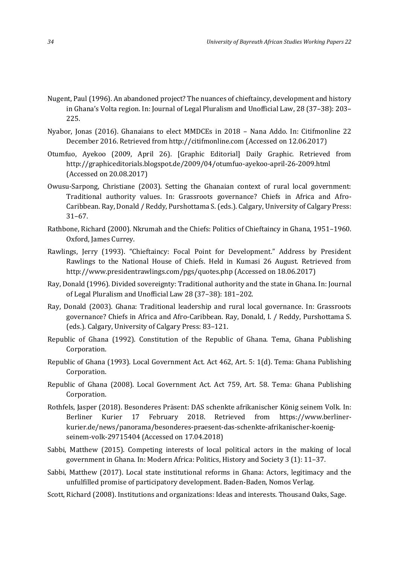- Nugent, Paul (1996). An abandoned project? The nuances of chieftaincy, development and history in Ghana's Volta region. In: Journal of Legal Pluralism and Unofficial Law, 28 (37–38): 203– 225.
- Nyabor, Jonas (2016). Ghanaians to elect MMDCEs in 2018 Nana Addo. In: Citifmonline 22 December 2016. Retrieved from http://citifmonline.com (Accessed on 12.06.2017)
- Otumfuo, Ayekoo (2009, April 26). [Graphic Editorial] Daily Graphic. Retrieved from http://graphiceditorials.blogspot.de/2009/04/otumfuo-ayekoo-april-26-2009.html (Accessed on 20.08.2017)
- Owusu-Sarpong, Christiane (2003). Setting the Ghanaian context of rural local government: Traditional authority values. In: Grassroots governance? Chiefs in Africa and Afro-Caribbean. Ray, Donald / Reddy, Purshottama S. (eds.). Calgary, University of Calgary Press: 31–67.
- Rathbone, Richard (2000). Nkrumah and the Chiefs: Politics of Chieftaincy in Ghana, 1951–1960. Oxford, James Currey.
- Rawlings, Jerry (1993). "Chieftaincy: Focal Point for Development." Address by President Rawlings to the National House of Chiefs. Held in Kumasi 26 August. Retrieved from http://www.presidentrawlings.com/pgs/quotes.php (Accessed on 18.06.2017)
- Ray, Donald (1996). Divided sovereignty: Traditional authority and the state in Ghana. In: Journal of Legal Pluralism and Unofficial Law 28 (37–38): 181–202.
- Ray, Donald (2003). Ghana: Traditional leadership and rural local governance. In: Grassroots governance? Chiefs in Africa and Afro-Caribbean. Ray, Donald, I. / Reddy, Purshottama S. (eds.). Calgary, University of Calgary Press: 83–121.
- Republic of Ghana (1992). Constitution of the Republic of Ghana. Tema, Ghana Publishing Corporation.
- Republic of Ghana (1993). Local Government Act. Act 462, Art. 5: 1(d). Tema: Ghana Publishing Corporation.
- Republic of Ghana (2008). Local Government Act. Act 759, Art. 58. Tema: Ghana Publishing Corporation.
- Rothfels, Jasper (2018). Besonderes Präsent: DAS schenkte afrikanischer König seinem Volk. In: Berliner Kurier 17 February 2018. Retrieved from [https://www.berliner](https://www.berliner-kurier.de/news/panorama/besonderes-praesent-das-schenkte-afrikanischer-koenig-seinem-volk-29715404)[kurier.de/news/panorama/besonderes-praesent-das-schenkte-afrikanischer-koenig](https://www.berliner-kurier.de/news/panorama/besonderes-praesent-das-schenkte-afrikanischer-koenig-seinem-volk-29715404)[seinem-volk-29715404](https://www.berliner-kurier.de/news/panorama/besonderes-praesent-das-schenkte-afrikanischer-koenig-seinem-volk-29715404) (Accessed on 17.04.2018)
- Sabbi, Matthew (2015). Competing interests of local political actors in the making of local government in Ghana. In: Modern Africa: Politics, History and Society 3 (1): 11–37.
- Sabbi, Matthew (2017). Local state institutional reforms in Ghana: Actors, legitimacy and the unfulfilled promise of participatory development. Baden-Baden, Nomos Verlag.
- Scott, Richard (2008). Institutions and organizations: Ideas and interests. Thousand Oaks, Sage.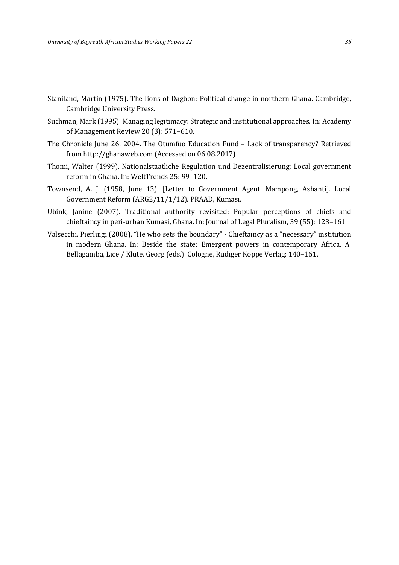- Staniland, Martin (1975). The lions of Dagbon: Political change in northern Ghana. Cambridge, Cambridge University Press.
- Suchman, Mark (1995). Managing legitimacy: Strategic and institutional approaches. In: Academy of Management Review 20 (3): 571–610.
- The Chronicle June 26, 2004. The Otumfuo Education Fund Lack of transparency? Retrieved from http://ghanaweb.com (Accessed on 06.08.2017)
- Thomi, Walter (1999). Nationalstaatliche Regulation und Dezentralisierung: Local government reform in Ghana. In: WeltTrends 25: 99–120.
- Townsend, A. J. (1958, June 13). [Letter to Government Agent, Mampong, Ashanti]. Local Government Reform (ARG2/11/1/12). PRAAD, Kumasi.
- Ubink, Janine (2007). Traditional authority revisited: Popular perceptions of chiefs and chieftaincy in peri-urban Kumasi, Ghana. In: Journal of Legal Pluralism, 39 (55): 123–161.
- Valsecchi, Pierluigi (2008). "He who sets the boundary" Chieftaincy as a "necessary" institution in modern Ghana. In: Beside the state: Emergent powers in contemporary Africa. A. Bellagamba, Lice / Klute, Georg (eds.). Cologne, Rüdiger Köppe Verlag: 140–161.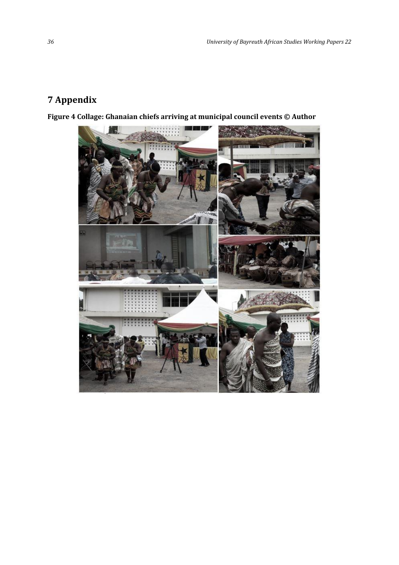### **7 Appendix**

**Figure 4 Collage: Ghanaian chiefs arriving at municipal council events © Author**